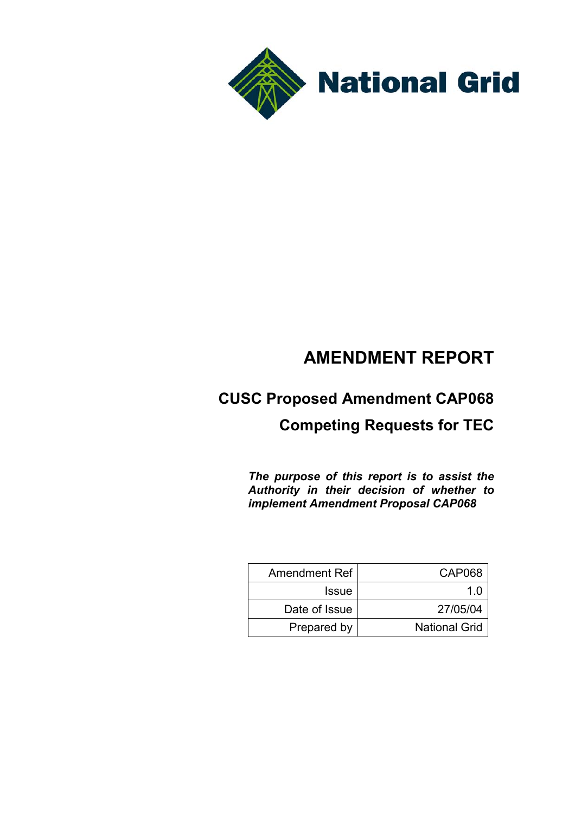

# **AMENDMENT REPORT**

# **CUSC Proposed Amendment CAP068**

# **Competing Requests for TEC**

*The purpose of this report is to assist the Authority in their decision of whether to implement Amendment Proposal CAP068*

| <b>Amendment Ref</b> | CAP068               |
|----------------------|----------------------|
| <b>Issue</b>         | 1 በ                  |
| Date of Issue        | 27/05/04             |
| Prepared by          | <b>National Grid</b> |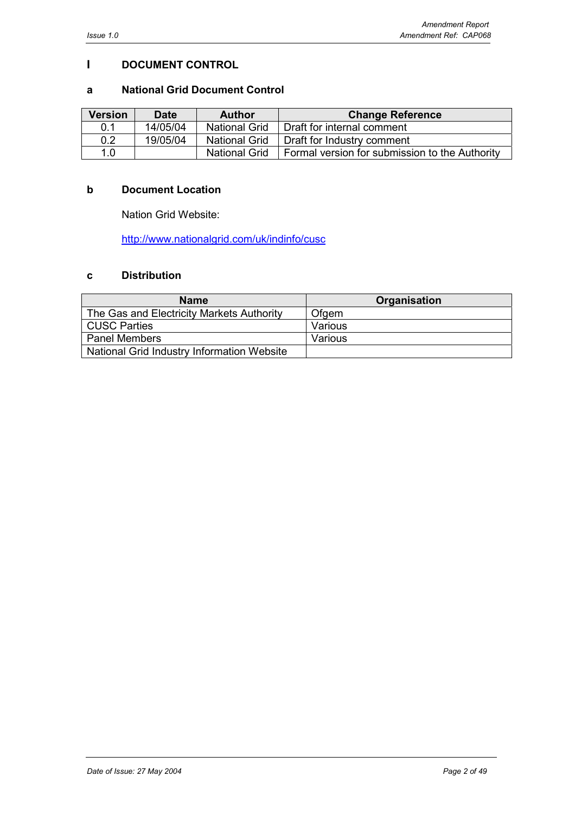## **I DOCUMENT CONTROL**

#### **a National Grid Document Control**

| <b>Version</b> | <b>Date</b> | <b>Author</b>        | <b>Change Reference</b>                        |
|----------------|-------------|----------------------|------------------------------------------------|
| 0.1            | 14/05/04    | <b>National Grid</b> | Draft for internal comment                     |
| 0.2            | 19/05/04    | <b>National Grid</b> | Draft for Industry comment                     |
| 1.0            |             | <b>National Grid</b> | Formal version for submission to the Authority |

## **b Document Location**

Nation Grid Website:

http://www.nationalgrid.com/uk/indinfo/cusc

## **c Distribution**

| <b>Name</b>                                | Organisation |
|--------------------------------------------|--------------|
| The Gas and Electricity Markets Authority  | Ofgem        |
| l CUSC Parties                             | Various      |
| <b>Panel Members</b>                       | Various      |
| National Grid Industry Information Website |              |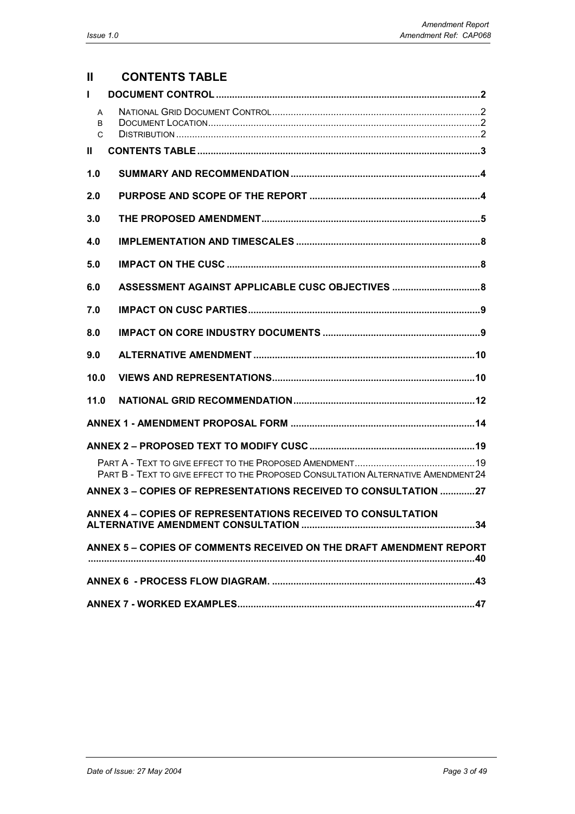# **II CONTENTS TABLE**

| $\mathbf{I}$ |                                                                                   |
|--------------|-----------------------------------------------------------------------------------|
| A<br>B<br>C  |                                                                                   |
| $\mathbf{I}$ |                                                                                   |
| 1.0          |                                                                                   |
| 2.0          |                                                                                   |
| 3.0          |                                                                                   |
| 4.0          |                                                                                   |
| 5.0          |                                                                                   |
| 6.0          | ASSESSMENT AGAINST APPLICABLE CUSC OBJECTIVES  8                                  |
| 7.0          |                                                                                   |
| 8.0          |                                                                                   |
| 9.0          |                                                                                   |
| 10.0         |                                                                                   |
| 11.0         |                                                                                   |
|              |                                                                                   |
|              |                                                                                   |
|              | PART B - TEXT TO GIVE EFFECT TO THE PROPOSED CONSULTATION ALTERNATIVE AMENDMENT24 |
|              | ANNEX 3 - COPIES OF REPRESENTATIONS RECEIVED TO CONSULTATION 27                   |
|              | ANNEX 4 - COPIES OF REPRESENTATIONS RECEIVED TO CONSULTATION                      |
|              | ANNEX 5 - COPIES OF COMMENTS RECEIVED ON THE DRAFT AMENDMENT REPORT               |
|              |                                                                                   |
|              |                                                                                   |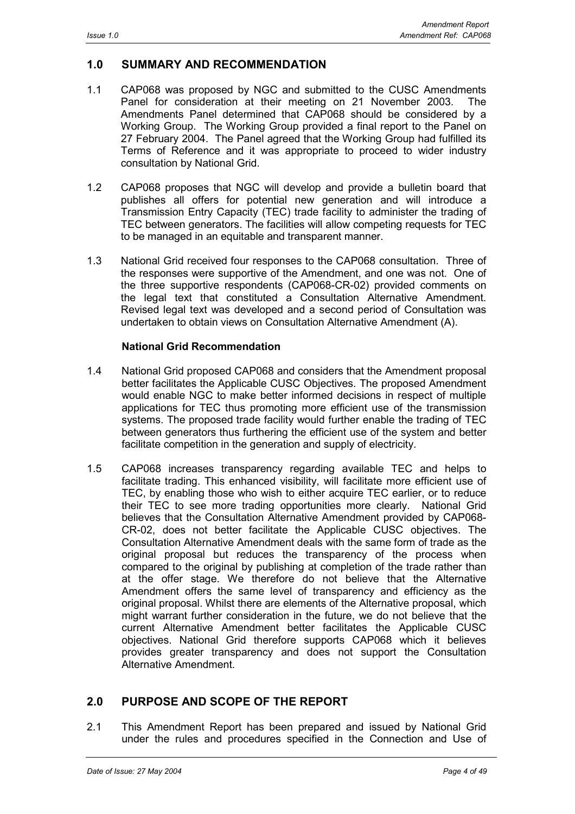# **1.0 SUMMARY AND RECOMMENDATION**

- 1.1 CAP068 was proposed by NGC and submitted to the CUSC Amendments Panel for consideration at their meeting on 21 November 2003. The Amendments Panel determined that CAP068 should be considered by a Working Group. The Working Group provided a final report to the Panel on 27 February 2004. The Panel agreed that the Working Group had fulfilled its Terms of Reference and it was appropriate to proceed to wider industry consultation by National Grid.
- 1.2 CAP068 proposes that NGC will develop and provide a bulletin board that publishes all offers for potential new generation and will introduce a Transmission Entry Capacity (TEC) trade facility to administer the trading of TEC between generators. The facilities will allow competing requests for TEC to be managed in an equitable and transparent manner.
- 1.3 National Grid received four responses to the CAP068 consultation. Three of the responses were supportive of the Amendment, and one was not. One of the three supportive respondents (CAP068-CR-02) provided comments on the legal text that constituted a Consultation Alternative Amendment. Revised legal text was developed and a second period of Consultation was undertaken to obtain views on Consultation Alternative Amendment (A).

## **National Grid Recommendation**

- 1.4 National Grid proposed CAP068 and considers that the Amendment proposal better facilitates the Applicable CUSC Objectives. The proposed Amendment would enable NGC to make better informed decisions in respect of multiple applications for TEC thus promoting more efficient use of the transmission systems. The proposed trade facility would further enable the trading of TEC between generators thus furthering the efficient use of the system and better facilitate competition in the generation and supply of electricity.
- 1.5 CAP068 increases transparency regarding available TEC and helps to facilitate trading. This enhanced visibility, will facilitate more efficient use of TEC, by enabling those who wish to either acquire TEC earlier, or to reduce their TEC to see more trading opportunities more clearly. National Grid believes that the Consultation Alternative Amendment provided by CAP068- CR-02, does not better facilitate the Applicable CUSC objectives. The Consultation Alternative Amendment deals with the same form of trade as the original proposal but reduces the transparency of the process when compared to the original by publishing at completion of the trade rather than at the offer stage. We therefore do not believe that the Alternative Amendment offers the same level of transparency and efficiency as the original proposal. Whilst there are elements of the Alternative proposal, which might warrant further consideration in the future, we do not believe that the current Alternative Amendment better facilitates the Applicable CUSC objectives. National Grid therefore supports CAP068 which it believes provides greater transparency and does not support the Consultation Alternative Amendment.

# **2.0 PURPOSE AND SCOPE OF THE REPORT**

2.1 This Amendment Report has been prepared and issued by National Grid under the rules and procedures specified in the Connection and Use of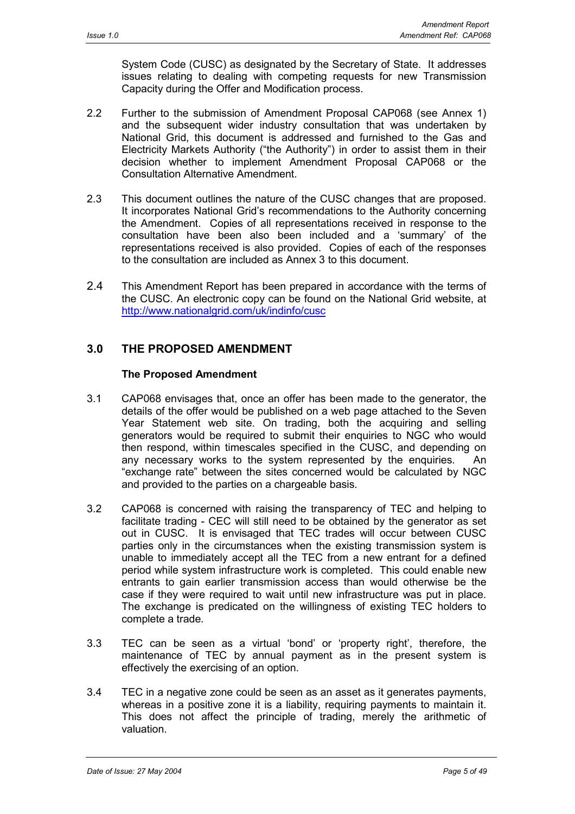System Code (CUSC) as designated by the Secretary of State. It addresses issues relating to dealing with competing requests for new Transmission Capacity during the Offer and Modification process.

- 2.2 Further to the submission of Amendment Proposal CAP068 (see Annex 1) and the subsequent wider industry consultation that was undertaken by National Grid, this document is addressed and furnished to the Gas and Electricity Markets Authority ("the Authority") in order to assist them in their decision whether to implement Amendment Proposal CAP068 or the Consultation Alternative Amendment.
- 2.3 This document outlines the nature of the CUSC changes that are proposed. It incorporates National Grid's recommendations to the Authority concerning the Amendment. Copies of all representations received in response to the consultation have been also been included and a 'summary' of the representations received is also provided. Copies of each of the responses to the consultation are included as Annex 3 to this document.
- 2.4 This Amendment Report has been prepared in accordance with the terms of the CUSC. An electronic copy can be found on the National Grid website, at http://www.nationalgrid.com/uk/indinfo/cusc

# **3.0 THE PROPOSED AMENDMENT**

## **The Proposed Amendment**

- 3.1 CAP068 envisages that, once an offer has been made to the generator, the details of the offer would be published on a web page attached to the Seven Year Statement web site. On trading, both the acquiring and selling generators would be required to submit their enquiries to NGC who would then respond, within timescales specified in the CUSC, and depending on any necessary works to the system represented by the enquiries. An "exchange rate" between the sites concerned would be calculated by NGC and provided to the parties on a chargeable basis.
- 3.2 CAP068 is concerned with raising the transparency of TEC and helping to facilitate trading - CEC will still need to be obtained by the generator as set out in CUSC. It is envisaged that TEC trades will occur between CUSC parties only in the circumstances when the existing transmission system is unable to immediately accept all the TEC from a new entrant for a defined period while system infrastructure work is completed. This could enable new entrants to gain earlier transmission access than would otherwise be the case if they were required to wait until new infrastructure was put in place. The exchange is predicated on the willingness of existing TEC holders to complete a trade.
- 3.3 TEC can be seen as a virtual 'bond' or 'property right', therefore, the maintenance of TEC by annual payment as in the present system is effectively the exercising of an option.
- 3.4 TEC in a negative zone could be seen as an asset as it generates payments, whereas in a positive zone it is a liability, requiring payments to maintain it. This does not affect the principle of trading, merely the arithmetic of valuation.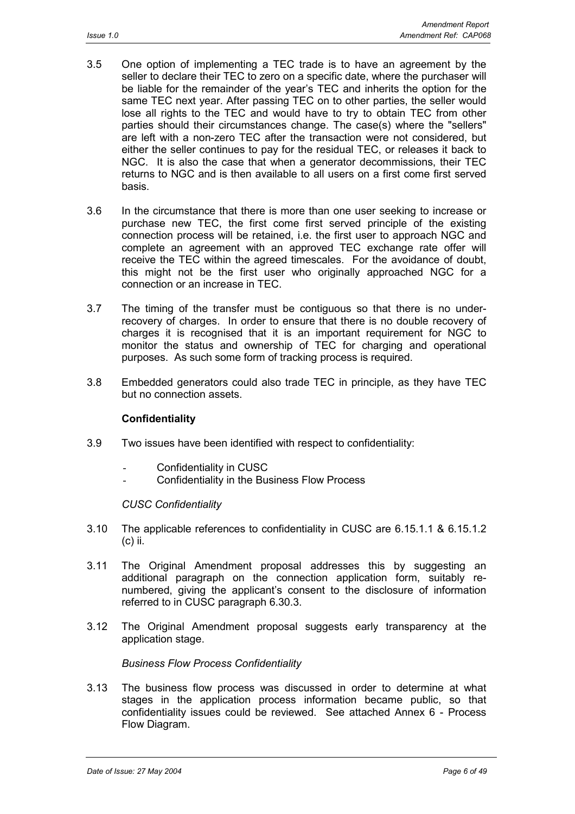- 3.5 One option of implementing a TEC trade is to have an agreement by the seller to declare their TEC to zero on a specific date, where the purchaser will be liable for the remainder of the year's TEC and inherits the option for the same TEC next year. After passing TEC on to other parties, the seller would lose all rights to the TEC and would have to try to obtain TEC from other parties should their circumstances change. The case(s) where the "sellers" are left with a non-zero TEC after the transaction were not considered, but either the seller continues to pay for the residual TEC, or releases it back to NGC. It is also the case that when a generator decommissions, their TEC returns to NGC and is then available to all users on a first come first served basis.
- 3.6 In the circumstance that there is more than one user seeking to increase or purchase new TEC, the first come first served principle of the existing connection process will be retained, i.e. the first user to approach NGC and complete an agreement with an approved TEC exchange rate offer will receive the TEC within the agreed timescales. For the avoidance of doubt, this might not be the first user who originally approached NGC for a connection or an increase in TEC.
- 3.7 The timing of the transfer must be contiguous so that there is no underrecovery of charges. In order to ensure that there is no double recovery of charges it is recognised that it is an important requirement for NGC to monitor the status and ownership of TEC for charging and operational purposes. As such some form of tracking process is required.
- 3.8 Embedded generators could also trade TEC in principle, as they have TEC but no connection assets.

## **Confidentiality**

- 3.9 Two issues have been identified with respect to confidentiality:
	- Confidentiality in CUSC
	- Confidentiality in the Business Flow Process

#### *CUSC Confidentiality*

- 3.10 The applicable references to confidentiality in CUSC are 6.15.1.1 & 6.15.1.2 (c) ii.
- 3.11 The Original Amendment proposal addresses this by suggesting an additional paragraph on the connection application form, suitably renumbered, giving the applicant's consent to the disclosure of information referred to in CUSC paragraph 6.30.3.
- 3.12 The Original Amendment proposal suggests early transparency at the application stage.

#### *Business Flow Process Confidentiality*

3.13 The business flow process was discussed in order to determine at what stages in the application process information became public, so that confidentiality issues could be reviewed. See attached Annex 6 - Process Flow Diagram.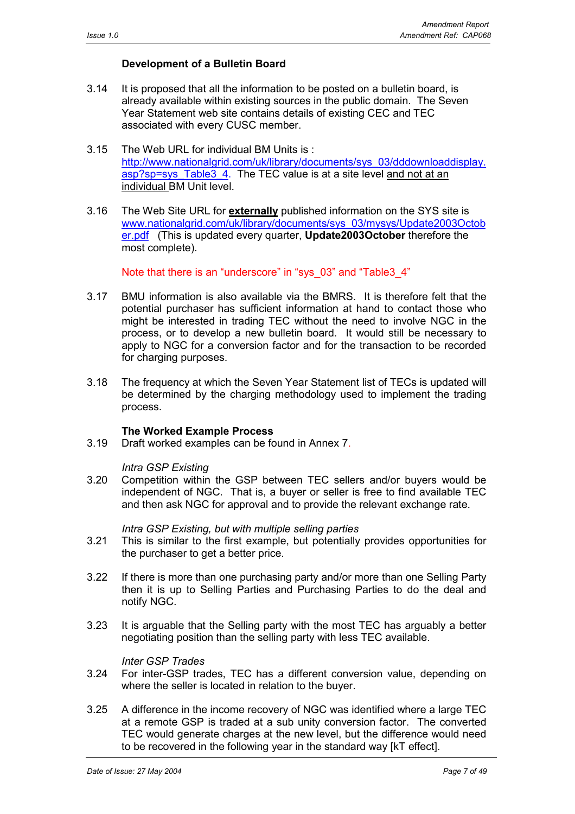## **Development of a Bulletin Board**

- 3.14 It is proposed that all the information to be posted on a bulletin board, is already available within existing sources in the public domain. The Seven Year Statement web site contains details of existing CEC and TEC associated with every CUSC member.
- 3.15 The Web URL for individual BM Units is : http://www.nationalgrid.com/uk/library/documents/sys\_03/dddownloaddisplay. asp?sp=sys\_Table3\_4. The TEC value is at a site level and not at an individual BM Unit level.
- 3.16 The Web Site URL for **externally** published information on the SYS site is www.nationalgrid.com/uk/library/documents/sys\_03/mysys/Update2003Octob er.pdf (This is updated every quarter, **Update2003October** therefore the most complete).

Note that there is an "underscore" in "sys\_03" and "Table3\_4"

- 3.17 BMU information is also available via the BMRS. It is therefore felt that the potential purchaser has sufficient information at hand to contact those who might be interested in trading TEC without the need to involve NGC in the process, or to develop a new bulletin board. It would still be necessary to apply to NGC for a conversion factor and for the transaction to be recorded for charging purposes.
- 3.18 The frequency at which the Seven Year Statement list of TECs is updated will be determined by the charging methodology used to implement the trading process.

## **The Worked Example Process**

3.19 Draft worked examples can be found in Annex 7.

#### *Intra GSP Existing*

3.20 Competition within the GSP between TEC sellers and/or buyers would be independent of NGC. That is, a buyer or seller is free to find available TEC and then ask NGC for approval and to provide the relevant exchange rate.

#### *Intra GSP Existing, but with multiple selling parties*

- 3.21 This is similar to the first example, but potentially provides opportunities for the purchaser to get a better price.
- 3.22 If there is more than one purchasing party and/or more than one Selling Party then it is up to Selling Parties and Purchasing Parties to do the deal and notify NGC.
- 3.23 It is arguable that the Selling party with the most TEC has arguably a better negotiating position than the selling party with less TEC available.

#### *Inter GSP Trades*

- 3.24 For inter-GSP trades, TEC has a different conversion value, depending on where the seller is located in relation to the buyer.
- 3.25 A difference in the income recovery of NGC was identified where a large TEC at a remote GSP is traded at a sub unity conversion factor. The converted TEC would generate charges at the new level, but the difference would need to be recovered in the following year in the standard way [kT effect].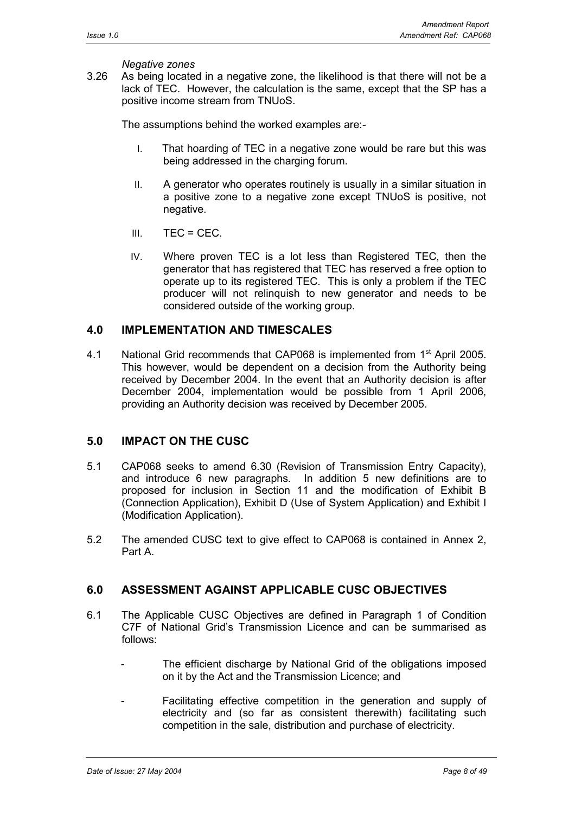## *Negative zones*

3.26 As being located in a negative zone, the likelihood is that there will not be a lack of TEC. However, the calculation is the same, except that the SP has a positive income stream from TNUoS.

The assumptions behind the worked examples are:-

- I. That hoarding of TEC in a negative zone would be rare but this was being addressed in the charging forum.
- II. A generator who operates routinely is usually in a similar situation in a positive zone to a negative zone except TNUoS is positive, not negative.
- $III. TEC = CEC.$
- IV. Where proven TEC is a lot less than Registered TEC, then the generator that has registered that TEC has reserved a free option to operate up to its registered TEC. This is only a problem if the TEC producer will not relinquish to new generator and needs to be considered outside of the working group.

## **4.0 IMPLEMENTATION AND TIMESCALES**

4.1 National Grid recommends that CAP068 is implemented from 1<sup>st</sup> April 2005. This however, would be dependent on a decision from the Authority being received by December 2004. In the event that an Authority decision is after December 2004, implementation would be possible from 1 April 2006, providing an Authority decision was received by December 2005.

## **5.0 IMPACT ON THE CUSC**

- 5.1 CAP068 seeks to amend 6.30 (Revision of Transmission Entry Capacity), and introduce 6 new paragraphs. In addition 5 new definitions are to proposed for inclusion in Section 11 and the modification of Exhibit B (Connection Application), Exhibit D (Use of System Application) and Exhibit I (Modification Application).
- 5.2 The amended CUSC text to give effect to CAP068 is contained in Annex 2, Part A.

## **6.0 ASSESSMENT AGAINST APPLICABLE CUSC OBJECTIVES**

- 6.1 The Applicable CUSC Objectives are defined in Paragraph 1 of Condition C7F of National Grid's Transmission Licence and can be summarised as follows:
	- The efficient discharge by National Grid of the obligations imposed on it by the Act and the Transmission Licence; and
	- Facilitating effective competition in the generation and supply of electricity and (so far as consistent therewith) facilitating such competition in the sale, distribution and purchase of electricity.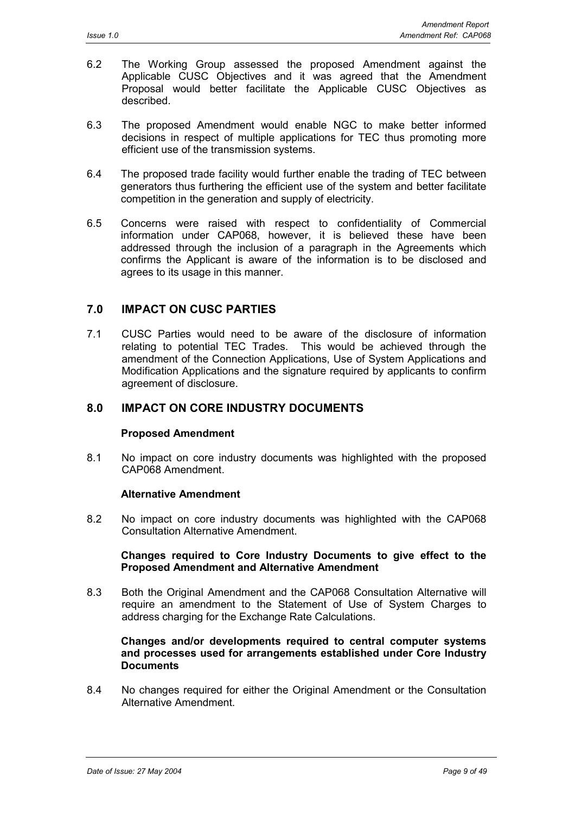- 6.2 The Working Group assessed the proposed Amendment against the Applicable CUSC Objectives and it was agreed that the Amendment Proposal would better facilitate the Applicable CUSC Objectives as described.
- 6.3 The proposed Amendment would enable NGC to make better informed decisions in respect of multiple applications for TEC thus promoting more efficient use of the transmission systems.
- 6.4 The proposed trade facility would further enable the trading of TEC between generators thus furthering the efficient use of the system and better facilitate competition in the generation and supply of electricity.
- 6.5 Concerns were raised with respect to confidentiality of Commercial information under CAP068, however, it is believed these have been addressed through the inclusion of a paragraph in the Agreements which confirms the Applicant is aware of the information is to be disclosed and agrees to its usage in this manner.

## **7.0 IMPACT ON CUSC PARTIES**

7.1 CUSC Parties would need to be aware of the disclosure of information relating to potential TEC Trades. This would be achieved through the amendment of the Connection Applications, Use of System Applications and Modification Applications and the signature required by applicants to confirm agreement of disclosure.

## **8.0 IMPACT ON CORE INDUSTRY DOCUMENTS**

## **Proposed Amendment**

8.1 No impact on core industry documents was highlighted with the proposed CAP068 Amendment.

#### **Alternative Amendment**

8.2 No impact on core industry documents was highlighted with the CAP068 Consultation Alternative Amendment.

#### **Changes required to Core Industry Documents to give effect to the Proposed Amendment and Alternative Amendment**

8.3 Both the Original Amendment and the CAP068 Consultation Alternative will require an amendment to the Statement of Use of System Charges to address charging for the Exchange Rate Calculations.

#### **Changes and/or developments required to central computer systems and processes used for arrangements established under Core Industry Documents**

8.4 No changes required for either the Original Amendment or the Consultation Alternative Amendment.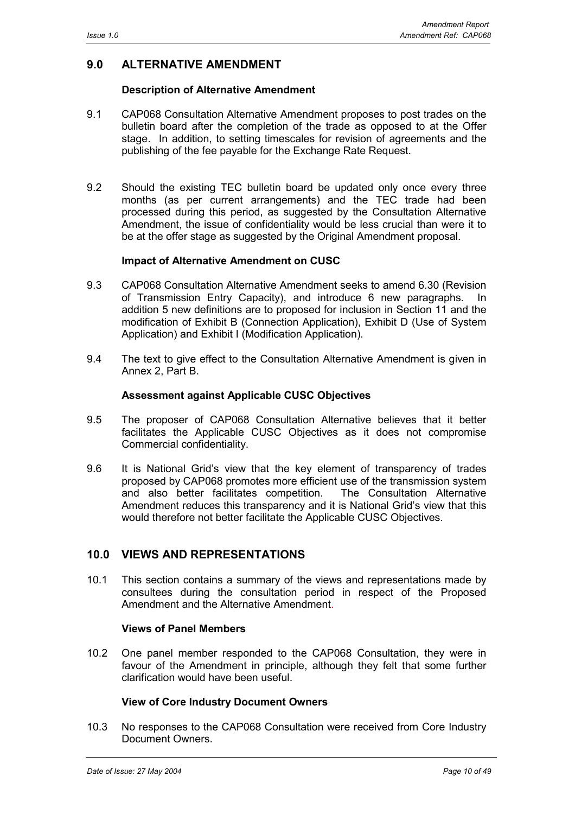## **9.0 ALTERNATIVE AMENDMENT**

#### **Description of Alternative Amendment**

- 9.1 CAP068 Consultation Alternative Amendment proposes to post trades on the bulletin board after the completion of the trade as opposed to at the Offer stage. In addition, to setting timescales for revision of agreements and the publishing of the fee payable for the Exchange Rate Request.
- 9.2 Should the existing TEC bulletin board be updated only once every three months (as per current arrangements) and the TEC trade had been processed during this period, as suggested by the Consultation Alternative Amendment, the issue of confidentiality would be less crucial than were it to be at the offer stage as suggested by the Original Amendment proposal.

#### **Impact of Alternative Amendment on CUSC**

- 9.3 CAP068 Consultation Alternative Amendment seeks to amend 6.30 (Revision of Transmission Entry Capacity), and introduce 6 new paragraphs. In addition 5 new definitions are to proposed for inclusion in Section 11 and the modification of Exhibit B (Connection Application), Exhibit D (Use of System Application) and Exhibit I (Modification Application).
- 9.4 The text to give effect to the Consultation Alternative Amendment is given in Annex 2, Part B.

#### **Assessment against Applicable CUSC Objectives**

- 9.5 The proposer of CAP068 Consultation Alternative believes that it better facilitates the Applicable CUSC Objectives as it does not compromise Commercial confidentiality.
- 9.6 It is National Grid's view that the key element of transparency of trades proposed by CAP068 promotes more efficient use of the transmission system and also better facilitates competition. The Consultation Alternative Amendment reduces this transparency and it is National Grid's view that this would therefore not better facilitate the Applicable CUSC Objectives.

## **10.0 VIEWS AND REPRESENTATIONS**

10.1 This section contains a summary of the views and representations made by consultees during the consultation period in respect of the Proposed Amendment and the Alternative Amendment.

#### **Views of Panel Members**

10.2 One panel member responded to the CAP068 Consultation, they were in favour of the Amendment in principle, although they felt that some further clarification would have been useful.

## **View of Core Industry Document Owners**

10.3 No responses to the CAP068 Consultation were received from Core Industry Document Owners.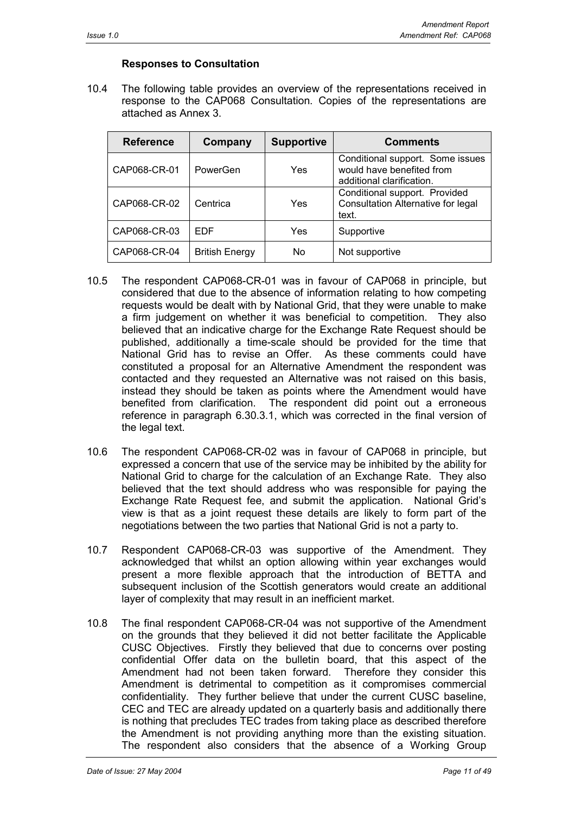## **Responses to Consultation**

10.4 The following table provides an overview of the representations received in response to the CAP068 Consultation. Copies of the representations are attached as Annex 3.

| <b>Reference</b> | Company               | <b>Supportive</b> | <b>Comments</b>                                                                            |
|------------------|-----------------------|-------------------|--------------------------------------------------------------------------------------------|
| CAP068-CR-01     | PowerGen              | Yes               | Conditional support. Some issues<br>would have benefited from<br>additional clarification. |
| CAP068-CR-02     | Centrica              | Yes               | Conditional support. Provided<br>Consultation Alternative for legal<br>text.               |
| CAP068-CR-03     | FDF                   | Yes               | Supportive                                                                                 |
| CAP068-CR-04     | <b>British Energy</b> | No                | Not supportive                                                                             |

- 10.5 The respondent CAP068-CR-01 was in favour of CAP068 in principle, but considered that due to the absence of information relating to how competing requests would be dealt with by National Grid, that they were unable to make a firm judgement on whether it was beneficial to competition. They also believed that an indicative charge for the Exchange Rate Request should be published, additionally a time-scale should be provided for the time that National Grid has to revise an Offer. As these comments could have constituted a proposal for an Alternative Amendment the respondent was contacted and they requested an Alternative was not raised on this basis, instead they should be taken as points where the Amendment would have benefited from clarification. The respondent did point out a erroneous reference in paragraph 6.30.3.1, which was corrected in the final version of the legal text.
- 10.6 The respondent CAP068-CR-02 was in favour of CAP068 in principle, but expressed a concern that use of the service may be inhibited by the ability for National Grid to charge for the calculation of an Exchange Rate. They also believed that the text should address who was responsible for paying the Exchange Rate Request fee, and submit the application. National Grid's view is that as a joint request these details are likely to form part of the negotiations between the two parties that National Grid is not a party to.
- 10.7 Respondent CAP068-CR-03 was supportive of the Amendment. They acknowledged that whilst an option allowing within year exchanges would present a more flexible approach that the introduction of BETTA and subsequent inclusion of the Scottish generators would create an additional layer of complexity that may result in an inefficient market.
- 10.8 The final respondent CAP068-CR-04 was not supportive of the Amendment on the grounds that they believed it did not better facilitate the Applicable CUSC Objectives. Firstly they believed that due to concerns over posting confidential Offer data on the bulletin board, that this aspect of the Amendment had not been taken forward. Therefore they consider this Amendment is detrimental to competition as it compromises commercial confidentiality. They further believe that under the current CUSC baseline, CEC and TEC are already updated on a quarterly basis and additionally there is nothing that precludes TEC trades from taking place as described therefore the Amendment is not providing anything more than the existing situation. The respondent also considers that the absence of a Working Group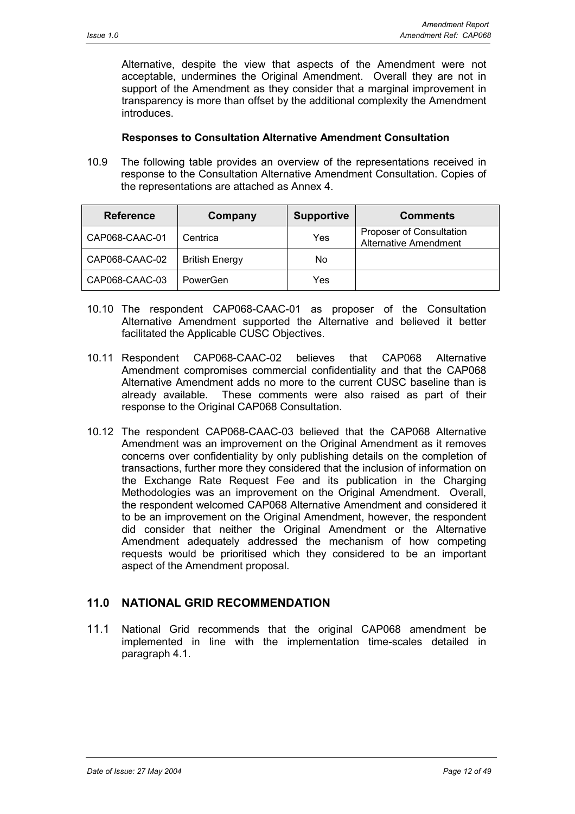Alternative, despite the view that aspects of the Amendment were not acceptable, undermines the Original Amendment. Overall they are not in support of the Amendment as they consider that a marginal improvement in transparency is more than offset by the additional complexity the Amendment introduces.

#### **Responses to Consultation Alternative Amendment Consultation**

10.9 The following table provides an overview of the representations received in response to the Consultation Alternative Amendment Consultation. Copies of the representations are attached as Annex 4.

| <b>Reference</b> | Company               | <b>Supportive</b> | <b>Comments</b>                                          |
|------------------|-----------------------|-------------------|----------------------------------------------------------|
| CAP068-CAAC-01   | Centrica              | Yes               | <b>Proposer of Consultation</b><br>Alternative Amendment |
| CAP068-CAAC-02   | <b>British Energy</b> | No                |                                                          |
| CAP068-CAAC-03   | PowerGen              | Yes               |                                                          |

- 10.10 The respondent CAP068-CAAC-01 as proposer of the Consultation Alternative Amendment supported the Alternative and believed it better facilitated the Applicable CUSC Objectives.
- 10.11 Respondent CAP068-CAAC-02 believes that CAP068 Alternative Amendment compromises commercial confidentiality and that the CAP068 Alternative Amendment adds no more to the current CUSC baseline than is already available. These comments were also raised as part of their response to the Original CAP068 Consultation.
- 10.12 The respondent CAP068-CAAC-03 believed that the CAP068 Alternative Amendment was an improvement on the Original Amendment as it removes concerns over confidentiality by only publishing details on the completion of transactions, further more they considered that the inclusion of information on the Exchange Rate Request Fee and its publication in the Charging Methodologies was an improvement on the Original Amendment. Overall, the respondent welcomed CAP068 Alternative Amendment and considered it to be an improvement on the Original Amendment, however, the respondent did consider that neither the Original Amendment or the Alternative Amendment adequately addressed the mechanism of how competing requests would be prioritised which they considered to be an important aspect of the Amendment proposal.

## **11.0 NATIONAL GRID RECOMMENDATION**

11.1 National Grid recommends that the original CAP068 amendment be implemented in line with the implementation time-scales detailed in paragraph 4.1.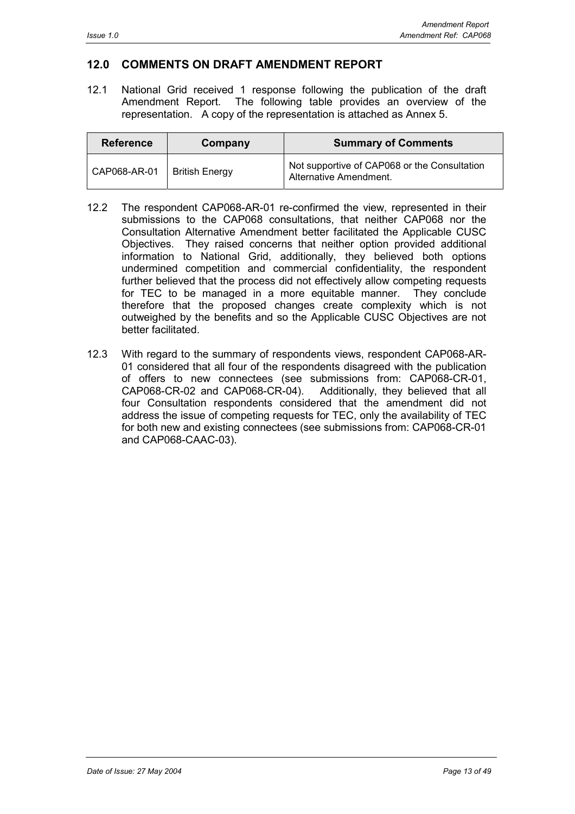# **12.0 COMMENTS ON DRAFT AMENDMENT REPORT**

12.1 National Grid received 1 response following the publication of the draft Amendment Report. The following table provides an overview of the representation. A copy of the representation is attached as Annex 5.

| <b>Reference</b> | Company               | <b>Summary of Comments</b>                                             |
|------------------|-----------------------|------------------------------------------------------------------------|
| CAP068-AR-01     | <b>British Energy</b> | Not supportive of CAP068 or the Consultation<br>Alternative Amendment. |

- 12.2 The respondent CAP068-AR-01 re-confirmed the view, represented in their submissions to the CAP068 consultations, that neither CAP068 nor the Consultation Alternative Amendment better facilitated the Applicable CUSC Objectives. They raised concerns that neither option provided additional information to National Grid, additionally, they believed both options undermined competition and commercial confidentiality, the respondent further believed that the process did not effectively allow competing requests for TEC to be managed in a more equitable manner. They conclude therefore that the proposed changes create complexity which is not outweighed by the benefits and so the Applicable CUSC Objectives are not better facilitated.
- 12.3 With regard to the summary of respondents views, respondent CAP068-AR-01 considered that all four of the respondents disagreed with the publication of offers to new connectees (see submissions from: CAP068-CR-01, CAP068-CR-02 and CAP068-CR-04). Additionally, they believed that all four Consultation respondents considered that the amendment did not address the issue of competing requests for TEC, only the availability of TEC for both new and existing connectees (see submissions from: CAP068-CR-01 and CAP068-CAAC-03).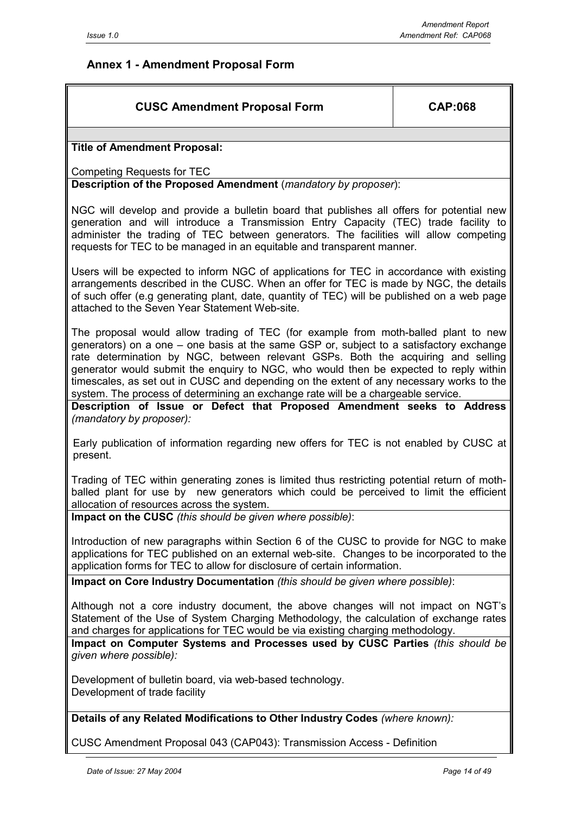# **Annex 1 - Amendment Proposal Form**

# **CUSC Amendment Proposal Form CAP:068**

## **Title of Amendment Proposal:**

Competing Requests for TEC

**Description of the Proposed Amendment** (*mandatory by proposer*):

NGC will develop and provide a bulletin board that publishes all offers for potential new generation and will introduce a Transmission Entry Capacity (TEC) trade facility to administer the trading of TEC between generators. The facilities will allow competing requests for TEC to be managed in an equitable and transparent manner.

Users will be expected to inform NGC of applications for TEC in accordance with existing arrangements described in the CUSC. When an offer for TEC is made by NGC, the details of such offer (e.g generating plant, date, quantity of TEC) will be published on a web page attached to the Seven Year Statement Web-site.

The proposal would allow trading of TEC (for example from moth-balled plant to new generators) on a one – one basis at the same GSP or, subject to a satisfactory exchange rate determination by NGC, between relevant GSPs. Both the acquiring and selling generator would submit the enquiry to NGC, who would then be expected to reply within timescales, as set out in CUSC and depending on the extent of any necessary works to the system. The process of determining an exchange rate will be a chargeable service.

**Description of Issue or Defect that Proposed Amendment seeks to Address** *(mandatory by proposer):*

Early publication of information regarding new offers for TEC is not enabled by CUSC at present.

Trading of TEC within generating zones is limited thus restricting potential return of mothballed plant for use by new generators which could be perceived to limit the efficient allocation of resources across the system.

**Impact on the CUSC** *(this should be given where possible)*:

Introduction of new paragraphs within Section 6 of the CUSC to provide for NGC to make applications for TEC published on an external web-site. Changes to be incorporated to the application forms for TEC to allow for disclosure of certain information.

**Impact on Core Industry Documentation** *(this should be given where possible)*:

Although not a core industry document, the above changes will not impact on NGT's Statement of the Use of System Charging Methodology, the calculation of exchange rates and charges for applications for TEC would be via existing charging methodology.

**Impact on Computer Systems and Processes used by CUSC Parties** *(this should be given where possible):*

Development of bulletin board, via web-based technology. Development of trade facility

**Details of any Related Modifications to Other Industry Codes** *(where known):*

CUSC Amendment Proposal 043 (CAP043): Transmission Access - Definition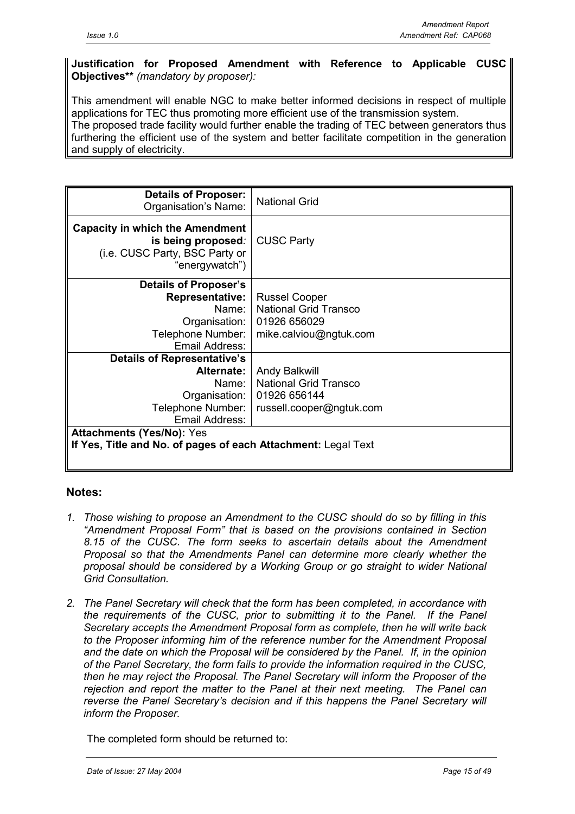## **Justification for Proposed Amendment with Reference to Applicable CUSC Objectives\*\*** *(mandatory by proposer):*

This amendment will enable NGC to make better informed decisions in respect of multiple applications for TEC thus promoting more efficient use of the transmission system. The proposed trade facility would further enable the trading of TEC between generators thus furthering the efficient use of the system and better facilitate competition in the generation and supply of electricity.

| <b>Details of Proposer:</b><br>Organisation's Name:                                                              | <b>National Grid</b>         |  |
|------------------------------------------------------------------------------------------------------------------|------------------------------|--|
| <b>Capacity in which the Amendment</b><br>is being proposed.<br>(i.e. CUSC Party, BSC Party or<br>"energywatch") | <b>CUSC Party</b>            |  |
| <b>Details of Proposer's</b>                                                                                     |                              |  |
| <b>Representative:</b>                                                                                           | <b>Russel Cooper</b>         |  |
| Name:                                                                                                            | <b>National Grid Transco</b> |  |
| Organisation:                                                                                                    | 01926 656029                 |  |
| Telephone Number:                                                                                                | mike.calviou@ngtuk.com       |  |
| Email Address:                                                                                                   |                              |  |
| <b>Details of Representative's</b>                                                                               |                              |  |
| Alternate:                                                                                                       | Andy Balkwill                |  |
| Name:                                                                                                            | <b>National Grid Transco</b> |  |
| Organisation:                                                                                                    | 01926 656144                 |  |
| Telephone Number:                                                                                                | russell.cooper@ngtuk.com     |  |
| Email Address:                                                                                                   |                              |  |
| <b>Attachments (Yes/No): Yes</b>                                                                                 |                              |  |
| If Yes, Title and No. of pages of each Attachment: Legal Text                                                    |                              |  |
|                                                                                                                  |                              |  |

## **Notes:**

- *1. Those wishing to propose an Amendment to the CUSC should do so by filling in this "Amendment Proposal Form" that is based on the provisions contained in Section 8.15 of the CUSC. The form seeks to ascertain details about the Amendment Proposal so that the Amendments Panel can determine more clearly whether the proposal should be considered by a Working Group or go straight to wider National Grid Consultation.*
- *2. The Panel Secretary will check that the form has been completed, in accordance with the requirements of the CUSC, prior to submitting it to the Panel. If the Panel Secretary accepts the Amendment Proposal form as complete, then he will write back to the Proposer informing him of the reference number for the Amendment Proposal and the date on which the Proposal will be considered by the Panel. If, in the opinion of the Panel Secretary, the form fails to provide the information required in the CUSC, then he may reject the Proposal. The Panel Secretary will inform the Proposer of the rejection and report the matter to the Panel at their next meeting. The Panel can reverse the Panel Secretary's decision and if this happens the Panel Secretary will inform the Proposer.*

The completed form should be returned to: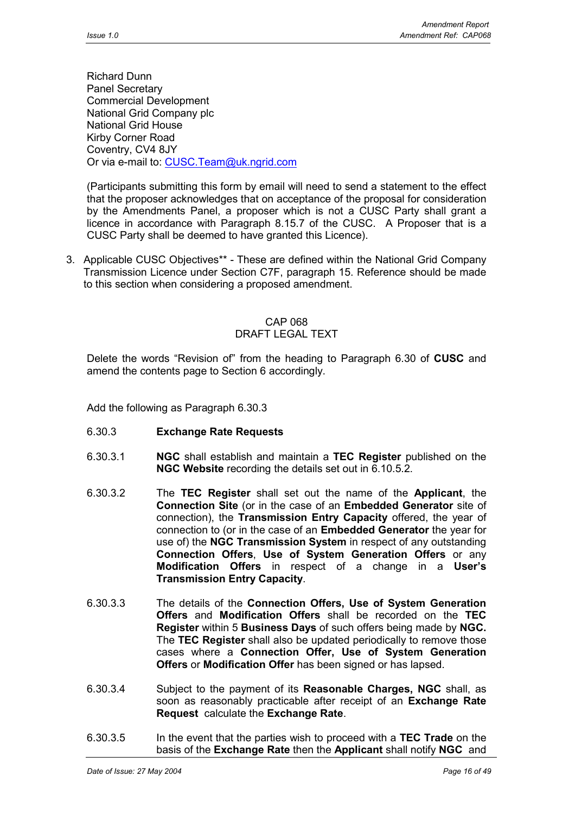Richard Dunn Panel Secretary Commercial Development National Grid Company plc National Grid House Kirby Corner Road Coventry, CV4 8JY Or via e-mail to: CUSC.Team@uk.ngrid.com

(Participants submitting this form by email will need to send a statement to the effect that the proposer acknowledges that on acceptance of the proposal for consideration by the Amendments Panel, a proposer which is not a CUSC Party shall grant a licence in accordance with Paragraph 8.15.7 of the CUSC. A Proposer that is a CUSC Party shall be deemed to have granted this Licence).

3. Applicable CUSC Objectives\*\* - These are defined within the National Grid Company Transmission Licence under Section C7F, paragraph 15. Reference should be made to this section when considering a proposed amendment.

#### CAP 068 DRAFT LEGAL TEXT

Delete the words "Revision of" from the heading to Paragraph 6.30 of **CUSC** and amend the contents page to Section 6 accordingly.

Add the following as Paragraph 6.30.3

- 6.30.3 **Exchange Rate Requests**
- 6.30.3.1 **NGC** shall establish and maintain a **TEC Register** published on the **NGC Website** recording the details set out in 6.10.5.2.
- 6.30.3.2 The **TEC Register** shall set out the name of the **Applicant**, the **Connection Site** (or in the case of an **Embedded Generator** site of connection), the **Transmission Entry Capacity** offered, the year of connection to (or in the case of an **Embedded Generator** the year for use of) the **NGC Transmission System** in respect of any outstanding **Connection Offers**, **Use of System Generation Offers** or any **Modification Offers** in respect of a change in a **User's Transmission Entry Capacity**.
- 6.30.3.3 The details of the **Connection Offers, Use of System Generation Offers** and **Modification Offers** shall be recorded on the **TEC Register** within 5 **Business Days** of such offers being made by **NGC.** The **TEC Register** shall also be updated periodically to remove those cases where a **Connection Offer, Use of System Generation Offers** or **Modification Offer** has been signed or has lapsed.
- 6.30.3.4 Subject to the payment of its **Reasonable Charges, NGC** shall, as soon as reasonably practicable after receipt of an **Exchange Rate Request** calculate the **Exchange Rate**.
- 6.30.3.5 In the event that the parties wish to proceed with a **TEC Trade** on the basis of the **Exchange Rate** then the **Applicant** shall notify **NGC** and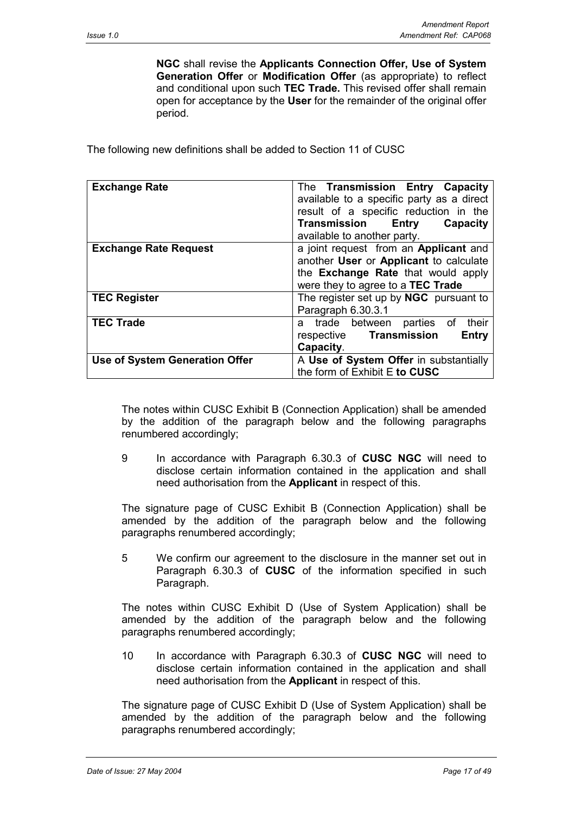**NGC** shall revise the **Applicants Connection Offer, Use of System Generation Offer** or **Modification Offer** (as appropriate) to reflect and conditional upon such **TEC Trade.** This revised offer shall remain open for acceptance by the **User** for the remainder of the original offer period.

The following new definitions shall be added to Section 11 of CUSC

| <b>Exchange Rate</b>                  | The Transmission Entry Capacity<br>available to a specific party as a direct<br>result of a specific reduction in the                                      |
|---------------------------------------|------------------------------------------------------------------------------------------------------------------------------------------------------------|
|                                       | Transmission<br>Entry<br>Capacity<br>available to another party.                                                                                           |
| <b>Exchange Rate Request</b>          | a joint request from an Applicant and<br>another User or Applicant to calculate<br>the Exchange Rate that would apply<br>were they to agree to a TEC Trade |
| <b>TEC Register</b>                   | The register set up by NGC pursuant to<br>Paragraph 6.30.3.1                                                                                               |
| <b>TEC Trade</b>                      | their<br>a trade between<br>parties of<br>respective Transmission<br>Entry<br>Capacity.                                                                    |
| <b>Use of System Generation Offer</b> | A Use of System Offer in substantially<br>the form of Exhibit E to CUSC                                                                                    |

The notes within CUSC Exhibit B (Connection Application) shall be amended by the addition of the paragraph below and the following paragraphs renumbered accordingly;

9 In accordance with Paragraph 6.30.3 of **CUSC NGC** will need to disclose certain information contained in the application and shall need authorisation from the **Applicant** in respect of this.

The signature page of CUSC Exhibit B (Connection Application) shall be amended by the addition of the paragraph below and the following paragraphs renumbered accordingly;

5 We confirm our agreement to the disclosure in the manner set out in Paragraph 6.30.3 of **CUSC** of the information specified in such Paragraph.

The notes within CUSC Exhibit D (Use of System Application) shall be amended by the addition of the paragraph below and the following paragraphs renumbered accordingly;

10 In accordance with Paragraph 6.30.3 of **CUSC NGC** will need to disclose certain information contained in the application and shall need authorisation from the **Applicant** in respect of this.

The signature page of CUSC Exhibit D (Use of System Application) shall be amended by the addition of the paragraph below and the following paragraphs renumbered accordingly;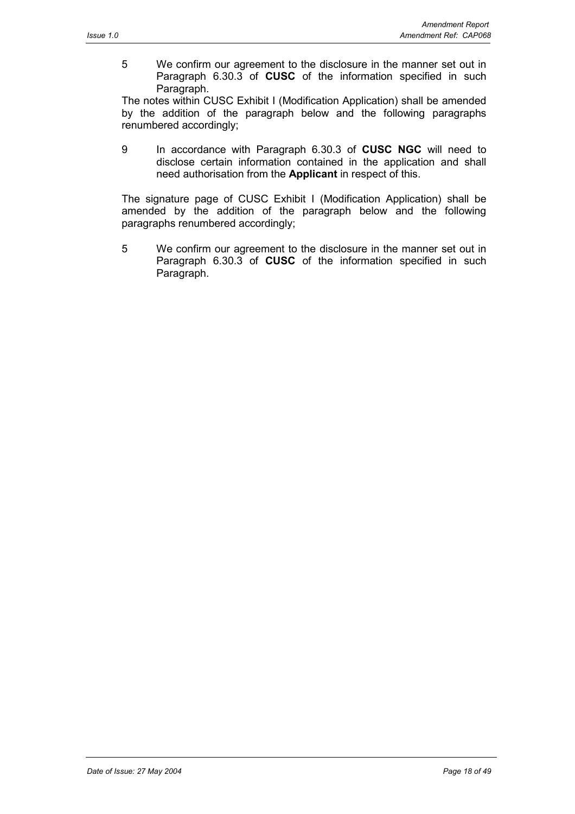5 We confirm our agreement to the disclosure in the manner set out in Paragraph 6.30.3 of **CUSC** of the information specified in such Paragraph.

The notes within CUSC Exhibit I (Modification Application) shall be amended by the addition of the paragraph below and the following paragraphs renumbered accordingly;

9 In accordance with Paragraph 6.30.3 of **CUSC NGC** will need to disclose certain information contained in the application and shall need authorisation from the **Applicant** in respect of this.

The signature page of CUSC Exhibit I (Modification Application) shall be amended by the addition of the paragraph below and the following paragraphs renumbered accordingly;

5 We confirm our agreement to the disclosure in the manner set out in Paragraph 6.30.3 of **CUSC** of the information specified in such Paragraph.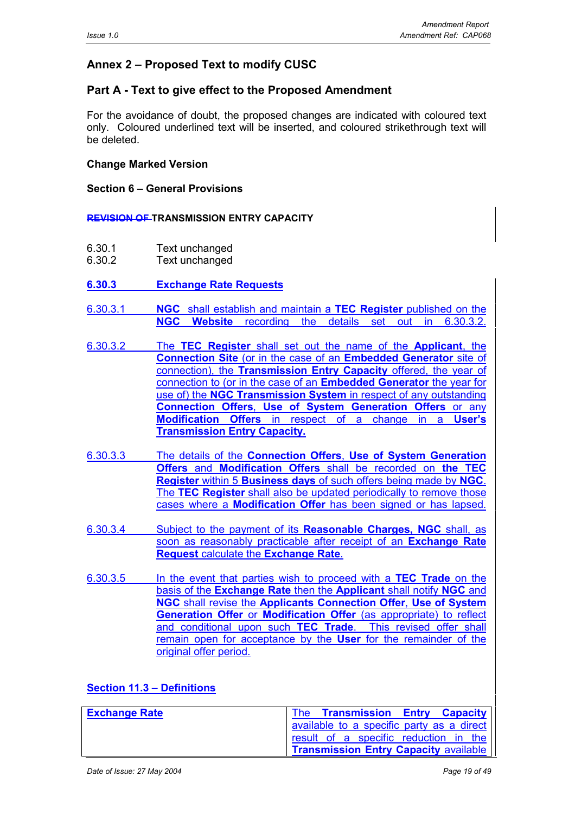# **Annex 2 – Proposed Text to modify CUSC**

## **Part A - Text to give effect to the Proposed Amendment**

For the avoidance of doubt, the proposed changes are indicated with coloured text only. Coloured underlined text will be inserted, and coloured strikethrough text will be deleted.

## **Change Marked Version**

## **Section 6 – General Provisions**

#### **REVISION OF TRANSMISSION ENTRY CAPACITY**

- 6.30.1 Text unchanged
- 6.30.2 Text unchanged
- **6.30.3 Exchange Rate Requests**
- 6.30.3.1 **NGC** shall establish and maintain a **TEC Register** published on the **NGC Website** recording the details set out in 6.30.3.2.
- 6.30.3.2 The **TEC Register** shall set out the name of the **Applicant**, the **Connection Site** (or in the case of an **Embedded Generator** site of connection), the **Transmission Entry Capacity** offered, the year of connection to (or in the case of an **Embedded Generator** the year for use of) the **NGC Transmission System** in respect of any outstanding **Connection Offers**, **Use of System Generation Offers** or any **Modification Offers** in respect of a change in a **User's Transmission Entry Capacity.**
- 6.30.3.3 The details of the **Connection Offers**, **Use of System Generation Offers** and **Modification Offers** shall be recorded on **the TEC Register** within 5 **Business days** of such offers being made by **NGC**. The **TEC Register** shall also be updated periodically to remove those cases where a **Modification Offer** has been signed or has lapsed.
- 6.30.3.4 Subject to the payment of its **Reasonable Charges, NGC** shall, as soon as reasonably practicable after receipt of an **Exchange Rate Request** calculate the **Exchange Rate**.
- 6.30.3.5 In the event that parties wish to proceed with a **TEC Trade** on the basis of the **Exchange Rate** then the **Applicant** shall notify **NGC** and **NGC** shall revise the **Applicants Connection Offer**, **Use of System Generation Offer** or **Modification Offer** (as appropriate) to reflect and conditional upon such **TEC Trade**. This revised offer shall remain open for acceptance by the **User** for the remainder of the original offer period.

## **Section 11.3 – Definitions**

| <b>Exchange Rate</b> |  |                                              | The Transmission Entry Capacity             |
|----------------------|--|----------------------------------------------|---------------------------------------------|
|                      |  |                                              | I available to a specific party as a direct |
|                      |  |                                              | result of a specific reduction in the       |
|                      |  | <b>Transmission Entry Capacity available</b> |                                             |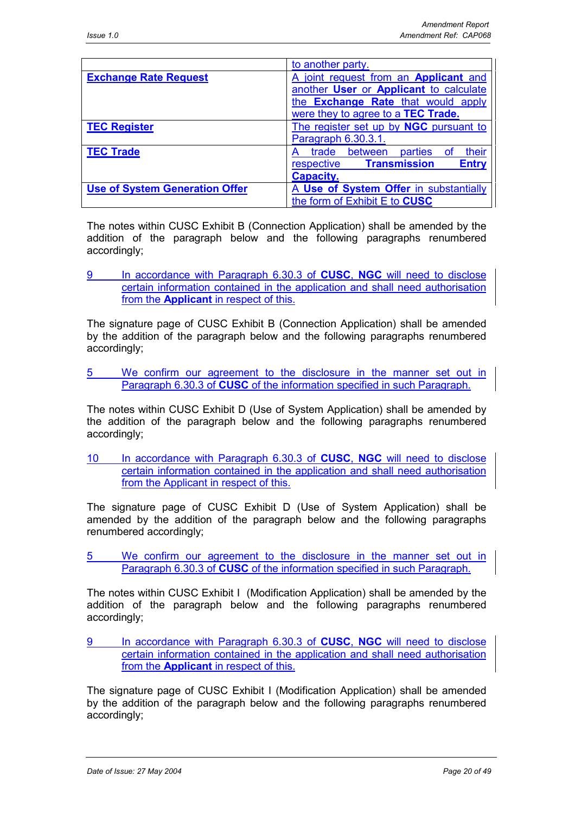|                                       | to another party.                                 |  |  |
|---------------------------------------|---------------------------------------------------|--|--|
| <b>Exchange Rate Request</b>          | A joint request from an Applicant and             |  |  |
|                                       | another User or Applicant to calculate            |  |  |
|                                       | the <b>Exchange Rate</b> that would apply         |  |  |
|                                       | were they to agree to a TEC Trade.                |  |  |
| <b>TEC Register</b>                   | The register set up by NGC pursuant to            |  |  |
|                                       | Paragraph 6.30.3.1.                               |  |  |
| <b>TEC Trade</b>                      | their<br>parties<br>between<br>trade<br>⊟ of      |  |  |
|                                       | <b>Transmission</b><br><b>Entry</b><br>respective |  |  |
|                                       | <b>Capacity.</b>                                  |  |  |
| <b>Use of System Generation Offer</b> | A Use of System Offer in substantially            |  |  |
|                                       | the form of Exhibit E to CUSC                     |  |  |

The notes within CUSC Exhibit B (Connection Application) shall be amended by the addition of the paragraph below and the following paragraphs renumbered accordingly;

9 In accordance with Paragraph 6.30.3 of **CUSC**, **NGC** will need to disclose certain information contained in the application and shall need authorisation from the **Applicant** in respect of this.

The signature page of CUSC Exhibit B (Connection Application) shall be amended by the addition of the paragraph below and the following paragraphs renumbered accordingly;

5 We confirm our agreement to the disclosure in the manner set out in Paragraph 6.30.3 of **CUSC** of the information specified in such Paragraph.

The notes within CUSC Exhibit D (Use of System Application) shall be amended by the addition of the paragraph below and the following paragraphs renumbered accordingly;

10 In accordance with Paragraph 6.30.3 of **CUSC**, **NGC** will need to disclose certain information contained in the application and shall need authorisation from the Applicant in respect of this.

The signature page of CUSC Exhibit D (Use of System Application) shall be amended by the addition of the paragraph below and the following paragraphs renumbered accordingly;

5 We confirm our agreement to the disclosure in the manner set out in Paragraph 6.30.3 of **CUSC** of the information specified in such Paragraph.

The notes within CUSC Exhibit I (Modification Application) shall be amended by the addition of the paragraph below and the following paragraphs renumbered accordingly;

9 In accordance with Paragraph 6.30.3 of **CUSC**, **NGC** will need to disclose certain information contained in the application and shall need authorisation from the **Applicant** in respect of this.

The signature page of CUSC Exhibit I (Modification Application) shall be amended by the addition of the paragraph below and the following paragraphs renumbered accordingly;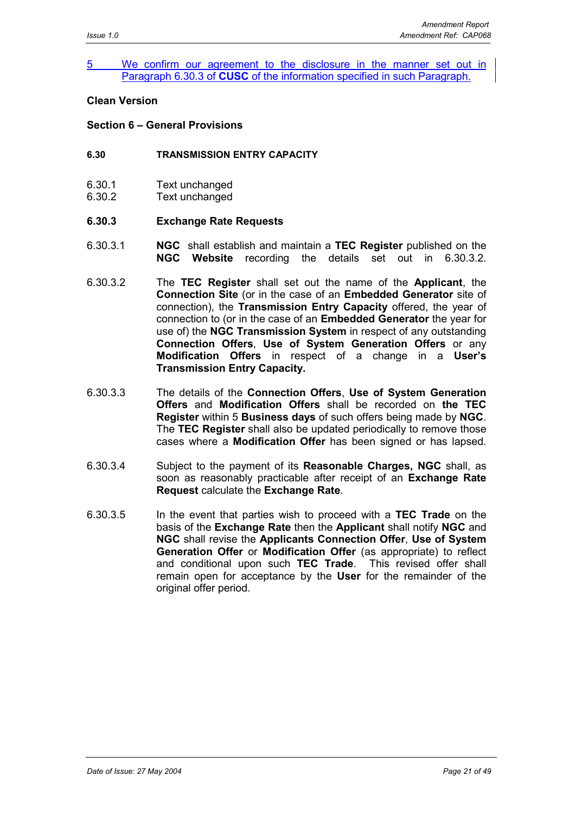#### 5 We confirm our agreement to the disclosure in the manner set out in Paragraph 6.30.3 of **CUSC** of the information specified in such Paragraph.

#### **Clean Version**

#### **Section 6 – General Provisions**

- **6.30 TRANSMISSION ENTRY CAPACITY**
- 6.30.1 Text unchanged
- 6.30.2 Text unchanged

#### **6.30.3 Exchange Rate Requests**

- 6.30.3.1 **NGC** shall establish and maintain a **TEC Register** published on the **NGC Website** recording the details set out in 6.30.3.2.
- 6.30.3.2 The **TEC Register** shall set out the name of the **Applicant**, the **Connection Site** (or in the case of an **Embedded Generator** site of connection), the **Transmission Entry Capacity** offered, the year of connection to (or in the case of an **Embedded Generator** the year for use of) the **NGC Transmission System** in respect of any outstanding **Connection Offers**, **Use of System Generation Offers** or any **Modification Offers** in respect of a change in a **User's Transmission Entry Capacity.**
- 6.30.3.3 The details of the **Connection Offers**, **Use of System Generation Offers** and **Modification Offers** shall be recorded on **the TEC Register** within 5 **Business days** of such offers being made by **NGC**. The **TEC Register** shall also be updated periodically to remove those cases where a **Modification Offer** has been signed or has lapsed.
- 6.30.3.4 Subject to the payment of its **Reasonable Charges, NGC** shall, as soon as reasonably practicable after receipt of an **Exchange Rate Request** calculate the **Exchange Rate**.
- 6.30.3.5 In the event that parties wish to proceed with a **TEC Trade** on the basis of the **Exchange Rate** then the **Applicant** shall notify **NGC** and **NGC** shall revise the **Applicants Connection Offer**, **Use of System Generation Offer** or **Modification Offer** (as appropriate) to reflect and conditional upon such **TEC Trade**. This revised offer shall remain open for acceptance by the **User** for the remainder of the original offer period.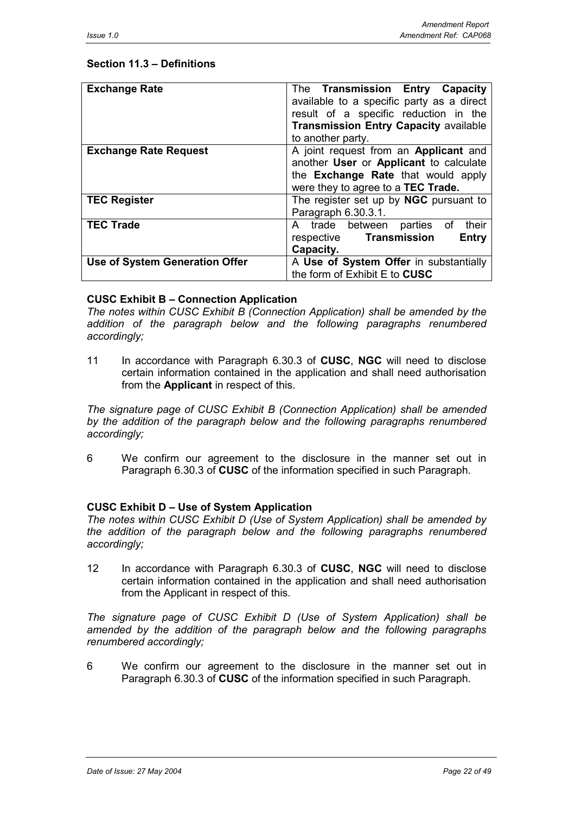## **Section 11.3 – Definitions**

| <b>Exchange Rate</b>           | The Transmission Entry Capacity<br>available to a specific party as a direct<br>result of a specific reduction in the<br><b>Transmission Entry Capacity available</b><br>to another party. |
|--------------------------------|--------------------------------------------------------------------------------------------------------------------------------------------------------------------------------------------|
| <b>Exchange Rate Request</b>   | A joint request from an Applicant and<br>another User or Applicant to calculate<br>the <b>Exchange Rate</b> that would apply<br>were they to agree to a TEC Trade.                         |
| <b>TEC Register</b>            | The register set up by <b>NGC</b> pursuant to<br>Paragraph 6.30.3.1.                                                                                                                       |
| <b>TEC Trade</b>               | their<br>A trade between parties of<br>respective Transmission<br>Entry<br>Capacity.                                                                                                       |
| Use of System Generation Offer | A Use of System Offer in substantially<br>the form of Exhibit E to CUSC                                                                                                                    |

## **CUSC Exhibit B – Connection Application**

*The notes within CUSC Exhibit B (Connection Application) shall be amended by the addition of the paragraph below and the following paragraphs renumbered accordingly;*

11 In accordance with Paragraph 6.30.3 of **CUSC**, **NGC** will need to disclose certain information contained in the application and shall need authorisation from the **Applicant** in respect of this.

*The signature page of CUSC Exhibit B (Connection Application) shall be amended by the addition of the paragraph below and the following paragraphs renumbered accordingly;*

6 We confirm our agreement to the disclosure in the manner set out in Paragraph 6.30.3 of **CUSC** of the information specified in such Paragraph.

## **CUSC Exhibit D – Use of System Application**

*The notes within CUSC Exhibit D (Use of System Application) shall be amended by the addition of the paragraph below and the following paragraphs renumbered accordingly;*

12 In accordance with Paragraph 6.30.3 of **CUSC**, **NGC** will need to disclose certain information contained in the application and shall need authorisation from the Applicant in respect of this.

*The signature page of CUSC Exhibit D (Use of System Application) shall be amended by the addition of the paragraph below and the following paragraphs renumbered accordingly;*

6 We confirm our agreement to the disclosure in the manner set out in Paragraph 6.30.3 of **CUSC** of the information specified in such Paragraph.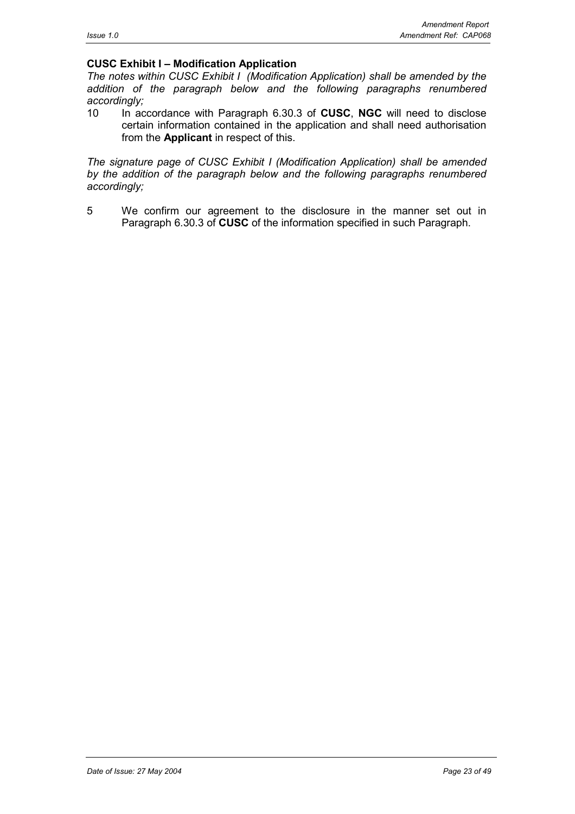## **CUSC Exhibit I – Modification Application**

*The notes within CUSC Exhibit I (Modification Application) shall be amended by the addition of the paragraph below and the following paragraphs renumbered accordingly;*

10 In accordance with Paragraph 6.30.3 of **CUSC**, **NGC** will need to disclose certain information contained in the application and shall need authorisation from the **Applicant** in respect of this.

*The signature page of CUSC Exhibit I (Modification Application) shall be amended by the addition of the paragraph below and the following paragraphs renumbered accordingly;*

5 We confirm our agreement to the disclosure in the manner set out in Paragraph 6.30.3 of **CUSC** of the information specified in such Paragraph.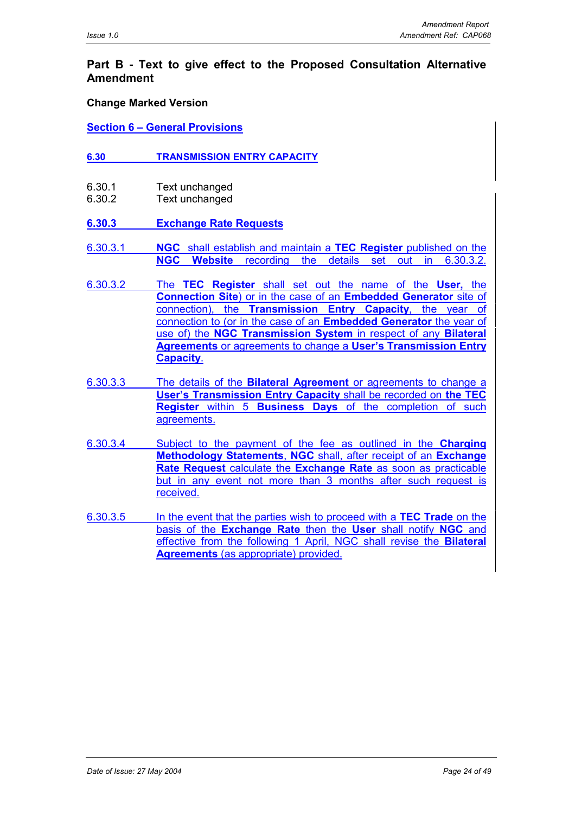## **Part B - Text to give effect to the Proposed Consultation Alternative Amendment**

#### **Change Marked Version**

#### **Section 6 – General Provisions**

- **6.30 TRANSMISSION ENTRY CAPACITY**
- 6.30.1 Text unchanged
- 6.30.2 Text unchanged

## **6.30.3 Exchange Rate Requests**

- 6.30.3.1 **NGC** shall establish and maintain a **TEC Register** published on the **NGC Website** recording the details set out in 6.30.3.2.
- 6.30.3.2 The **TEC Register** shall set out the name of the **User,** the **Connection Site**) or in the case of an **Embedded Generator** site of connection), the **Transmission Entry Capacity**, the year of connection to (or in the case of an **Embedded Generator** the year of use of) the **NGC Transmission System** in respect of any **Bilateral Agreements** or agreements to change a **User's Transmission Entry Capacity**.
- 6.30.3.3 The details of the **Bilateral Agreement** or agreements to change a **User's Transmission Entry Capacity** shall be recorded on **the TEC Register** within 5 **Business Days** of the completion of such agreements.
- 6.30.3.4 Subject to the payment of the fee as outlined in the **Charging Methodology Statements**, **NGC** shall, after receipt of an **Exchange Rate Request** calculate the **Exchange Rate** as soon as practicable but in any event not more than 3 months after such request is received.
- 6.30.3.5 In the event that the parties wish to proceed with a **TEC Trade** on the basis of the **Exchange Rate** then the **User** shall notify **NGC** and effective from the following 1 April, NGC shall revise the **Bilateral Agreements** (as appropriate) provided.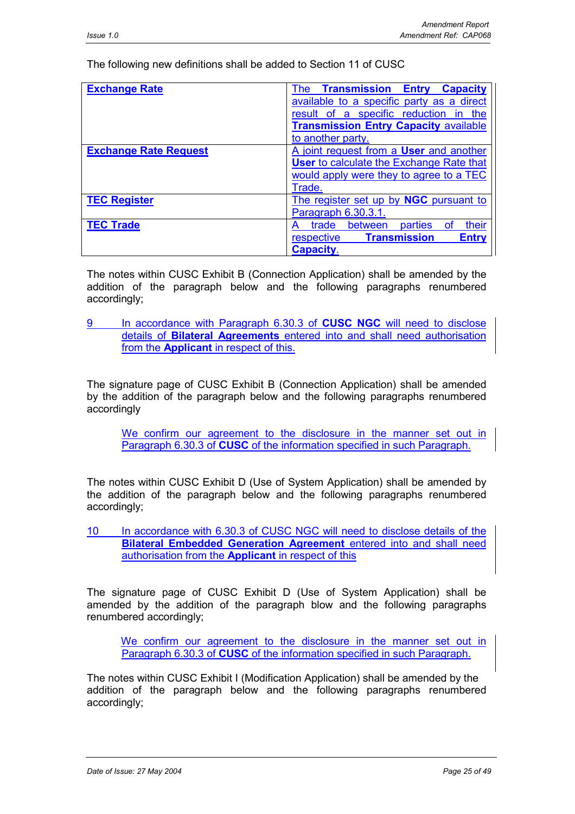The following new definitions shall be added to Section 11 of CUSC

| <b>Exchange Rate</b>         | <b>Transmission Entry Capacity</b><br>The         |
|------------------------------|---------------------------------------------------|
|                              | available to a specific party as a direct         |
|                              | result of a specific reduction in the             |
|                              | <b>Transmission Entry Capacity available</b>      |
|                              | to another party.                                 |
| <b>Exchange Rate Request</b> | A joint request from a User and another           |
|                              | <b>User to calculate the Exchange Rate that</b>   |
|                              | would apply were they to agree to a TEC           |
|                              | Trade.                                            |
| <b>TEC Register</b>          | The register set up by NGC pursuant to            |
|                              | Paragraph 6.30.3.1.                               |
| <b>TEC Trade</b>             | their<br>parties<br>between<br>trade<br>Ωt        |
|                              | <b>Entry</b><br><b>Transmission</b><br>respective |
|                              | <b>Capacity.</b>                                  |

The notes within CUSC Exhibit B (Connection Application) shall be amended by the addition of the paragraph below and the following paragraphs renumbered accordingly;

9 In accordance with Paragraph 6.30.3 of **CUSC NGC** will need to disclose details of **Bilateral Agreements** entered into and shall need authorisation from the **Applicant** in respect of this.

The signature page of CUSC Exhibit B (Connection Application) shall be amended by the addition of the paragraph below and the following paragraphs renumbered accordingly

We confirm our agreement to the disclosure in the manner set out in Paragraph 6.30.3 of **CUSC** of the information specified in such Paragraph.

The notes within CUSC Exhibit D (Use of System Application) shall be amended by the addition of the paragraph below and the following paragraphs renumbered accordingly;

10 In accordance with 6.30.3 of CUSC NGC will need to disclose details of the **Bilateral Embedded Generation Agreement** entered into and shall need authorisation from the **Applicant** in respect of this

The signature page of CUSC Exhibit D (Use of System Application) shall be amended by the addition of the paragraph blow and the following paragraphs renumbered accordingly;

We confirm our agreement to the disclosure in the manner set out in Paragraph 6.30.3 of **CUSC** of the information specified in such Paragraph.

The notes within CUSC Exhibit I (Modification Application) shall be amended by the addition of the paragraph below and the following paragraphs renumbered accordingly;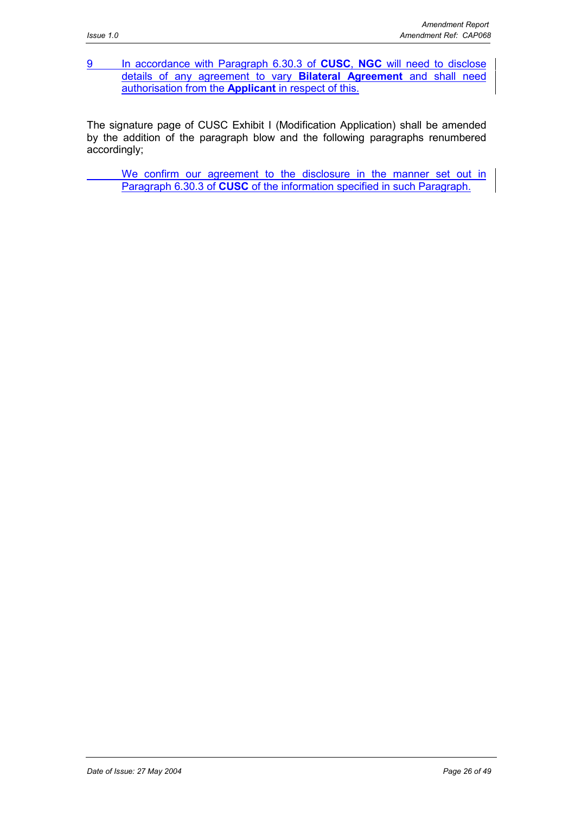9 In accordance with Paragraph 6.30.3 of **CUSC**, **NGC** will need to disclose details of any agreement to vary **Bilateral Agreement** and shall need authorisation from the **Applicant** in respect of this.

The signature page of CUSC Exhibit I (Modification Application) shall be amended by the addition of the paragraph blow and the following paragraphs renumbered accordingly;

We confirm our agreement to the disclosure in the manner set out in Paragraph 6.30.3 of **CUSC** of the information specified in such Paragraph.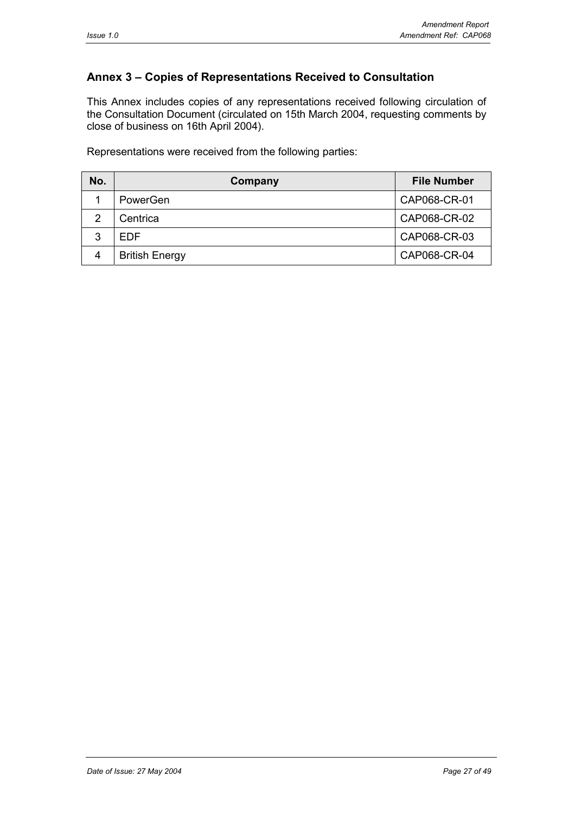# **Annex 3 – Copies of Representations Received to Consultation**

This Annex includes copies of any representations received following circulation of the Consultation Document (circulated on 15th March 2004, requesting comments by close of business on 16th April 2004).

Representations were received from the following parties:

| No. | Company               | <b>File Number</b> |
|-----|-----------------------|--------------------|
|     | PowerGen              | CAP068-CR-01       |
| っ   | Centrica              | CAP068-CR-02       |
| ົ   | FDF                   | CAP068-CR-03       |
| 4   | <b>British Energy</b> | CAP068-CR-04       |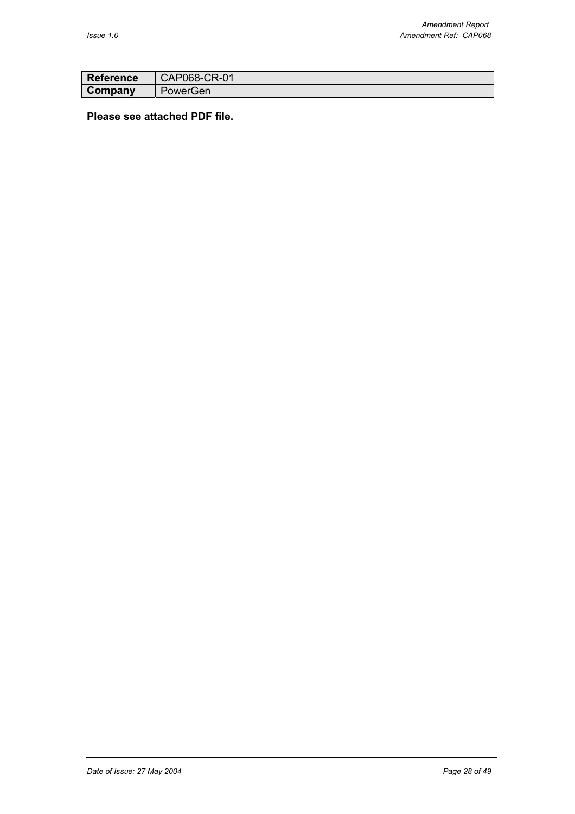| <b>Reference</b> | $\vert$ CAP068-CR-01 |
|------------------|----------------------|
| Company          | PowerGen             |

# **Please see attached PDF file.**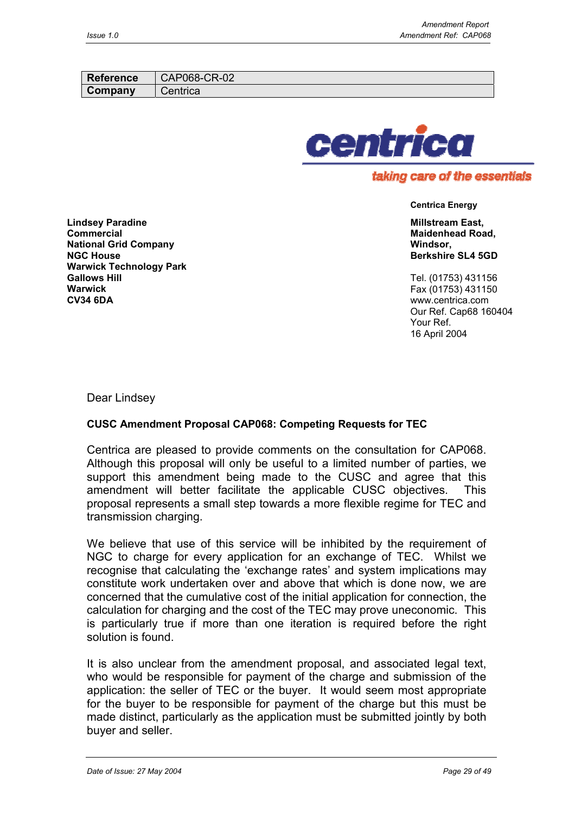| <b>Reference</b> | CAP068-CR-02 |
|------------------|--------------|
| Company          | Centrica     |



# **Centrica Energy**

**Millstream East, Maidenhead Road, Windsor, Berkshire SL4 5GD**

Tel. (01753) 431156 Fax (01753) 431150 www.centrica.com Our Ref. Cap68 160404 Your Ref. 16 April 2004

**Lindsey Paradine Commercial National Grid Company NGC House Warwick Technology Park Gallows Hill Warwick CV34 6DA**

Dear Lindsey

## **CUSC Amendment Proposal CAP068: Competing Requests for TEC**

Centrica are pleased to provide comments on the consultation for CAP068. Although this proposal will only be useful to a limited number of parties, we support this amendment being made to the CUSC and agree that this amendment will better facilitate the applicable CUSC objectives. This proposal represents a small step towards a more flexible regime for TEC and transmission charging.

We believe that use of this service will be inhibited by the requirement of NGC to charge for every application for an exchange of TEC. Whilst we recognise that calculating the 'exchange rates' and system implications may constitute work undertaken over and above that which is done now, we are concerned that the cumulative cost of the initial application for connection, the calculation for charging and the cost of the TEC may prove uneconomic. This is particularly true if more than one iteration is required before the right solution is found.

It is also unclear from the amendment proposal, and associated legal text, who would be responsible for payment of the charge and submission of the application: the seller of TEC or the buyer. It would seem most appropriate for the buyer to be responsible for payment of the charge but this must be made distinct, particularly as the application must be submitted jointly by both buyer and seller.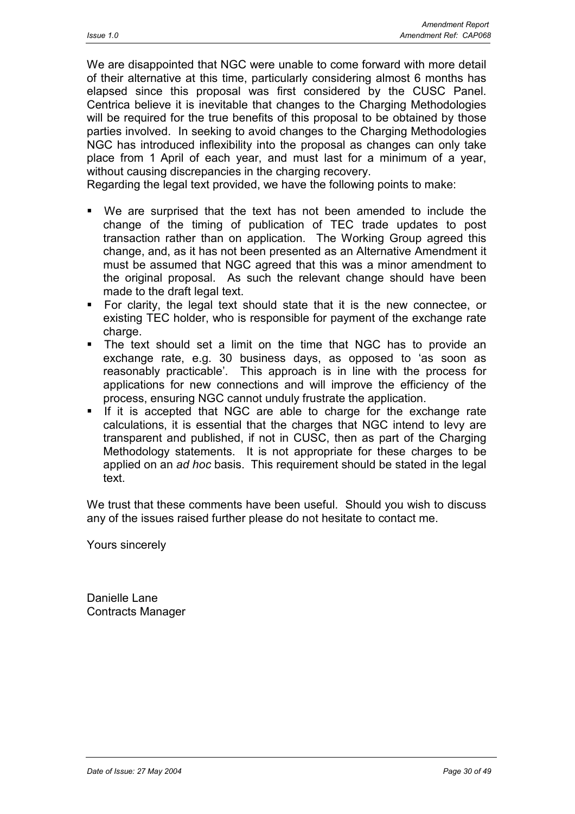We are disappointed that NGC were unable to come forward with more detail of their alternative at this time, particularly considering almost 6 months has elapsed since this proposal was first considered by the CUSC Panel. Centrica believe it is inevitable that changes to the Charging Methodologies will be required for the true benefits of this proposal to be obtained by those parties involved. In seeking to avoid changes to the Charging Methodologies NGC has introduced inflexibility into the proposal as changes can only take place from 1 April of each year, and must last for a minimum of a year, without causing discrepancies in the charging recovery.

Regarding the legal text provided, we have the following points to make:

- We are surprised that the text has not been amended to include the change of the timing of publication of TEC trade updates to post transaction rather than on application. The Working Group agreed this change, and, as it has not been presented as an Alternative Amendment it must be assumed that NGC agreed that this was a minor amendment to the original proposal. As such the relevant change should have been made to the draft legal text.
- For clarity, the legal text should state that it is the new connectee, or existing TEC holder, who is responsible for payment of the exchange rate charge.
- The text should set a limit on the time that NGC has to provide an exchange rate, e.g. 30 business days, as opposed to 'as soon as reasonably practicable'. This approach is in line with the process for applications for new connections and will improve the efficiency of the process, ensuring NGC cannot unduly frustrate the application.
- If it is accepted that NGC are able to charge for the exchange rate calculations, it is essential that the charges that NGC intend to levy are transparent and published, if not in CUSC, then as part of the Charging Methodology statements. It is not appropriate for these charges to be applied on an *ad hoc* basis. This requirement should be stated in the legal text.

We trust that these comments have been useful. Should you wish to discuss any of the issues raised further please do not hesitate to contact me.

Yours sincerely

Danielle Lane Contracts Manager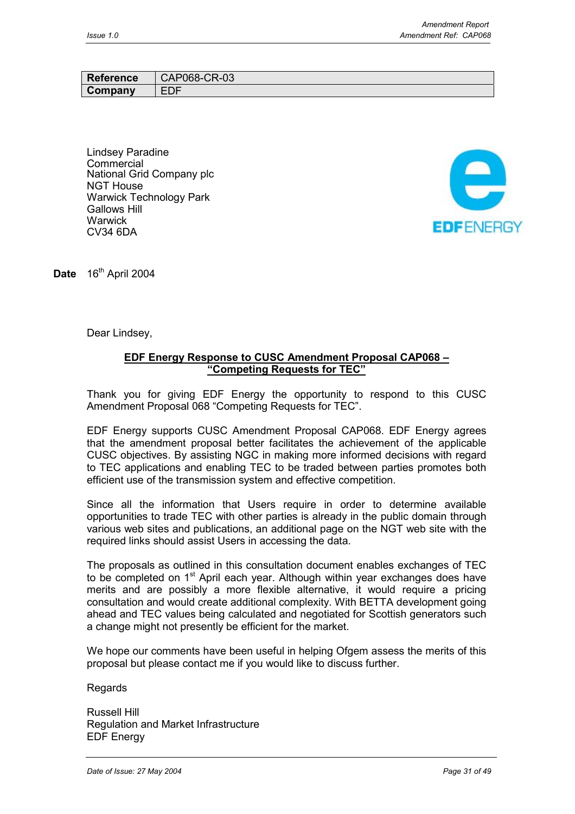| <b>Reference</b> | 2068-CR-03<br>JAPC |
|------------------|--------------------|
| Company          | EDF                |

Lindsey Paradine **Commercial** National Grid Company plc NGT House Warwick Technology Park Gallows Hill **Warwick** CV34 6DA



Date 16<sup>th</sup> April 2004

Dear Lindsey,

## **EDF Energy Response to CUSC Amendment Proposal CAP068 – "Competing Requests for TEC"**

Thank you for giving EDF Energy the opportunity to respond to this CUSC Amendment Proposal 068 "Competing Requests for TEC".

EDF Energy supports CUSC Amendment Proposal CAP068. EDF Energy agrees that the amendment proposal better facilitates the achievement of the applicable CUSC objectives. By assisting NGC in making more informed decisions with regard to TEC applications and enabling TEC to be traded between parties promotes both efficient use of the transmission system and effective competition.

Since all the information that Users require in order to determine available opportunities to trade TEC with other parties is already in the public domain through various web sites and publications, an additional page on the NGT web site with the required links should assist Users in accessing the data.

The proposals as outlined in this consultation document enables exchanges of TEC to be completed on 1<sup>st</sup> April each year. Although within year exchanges does have merits and are possibly a more flexible alternative, it would require a pricing consultation and would create additional complexity. With BETTA development going ahead and TEC values being calculated and negotiated for Scottish generators such a change might not presently be efficient for the market.

We hope our comments have been useful in helping Ofgem assess the merits of this proposal but please contact me if you would like to discuss further.

Regards

Russell Hill Regulation and Market Infrastructure EDF Energy

*Date of Issue: 27 May 2004 Page 31 of 49*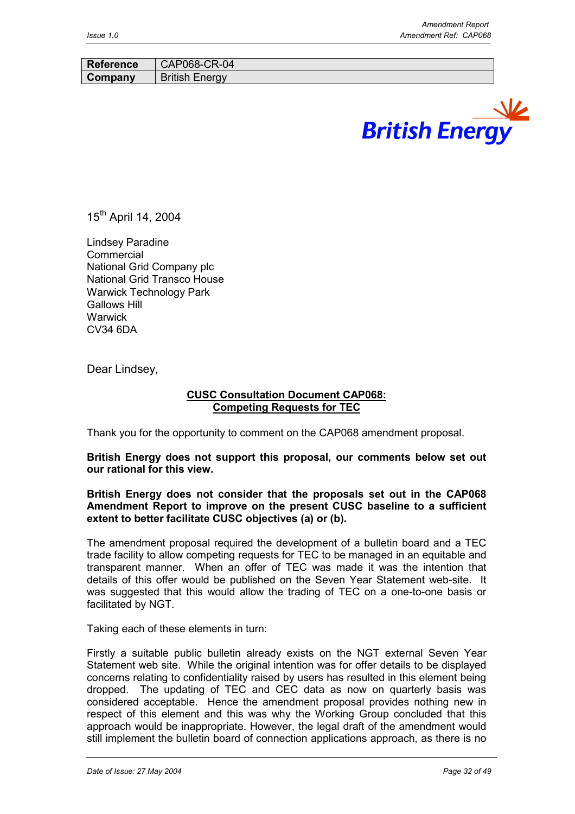| <b>Reference</b> | CAP068-CR-04          |
|------------------|-----------------------|
| Company          | <b>British Energy</b> |
|                  |                       |



15<sup>th</sup> April 14, 2004

Lindsey Paradine **Commercial** National Grid Company plc National Grid Transco House Warwick Technology Park Gallows Hill **Warwick** CV34 6DA

Dear Lindsey,

## **CUSC Consultation Document CAP068: Competing Requests for TEC**

Thank you for the opportunity to comment on the CAP068 amendment proposal.

**British Energy does not support this proposal, our comments below set out our rational for this view.**

#### **British Energy does not consider that the proposals set out in the CAP068 Amendment Report to improve on the present CUSC baseline to a sufficient extent to better facilitate CUSC objectives (a) or (b).**

The amendment proposal required the development of a bulletin board and a TEC trade facility to allow competing requests for TEC to be managed in an equitable and transparent manner. When an offer of TEC was made it was the intention that details of this offer would be published on the Seven Year Statement web-site. It was suggested that this would allow the trading of TEC on a one-to-one basis or facilitated by NGT.

Taking each of these elements in turn:

Firstly a suitable public bulletin already exists on the NGT external Seven Year Statement web site. While the original intention was for offer details to be displayed concerns relating to confidentiality raised by users has resulted in this element being dropped. The updating of TEC and CEC data as now on quarterly basis was considered acceptable. Hence the amendment proposal provides nothing new in respect of this element and this was why the Working Group concluded that this approach would be inappropriate. However, the legal draft of the amendment would still implement the bulletin board of connection applications approach, as there is no

*Date of Issue: 27 May 2004 Page 32 of 49*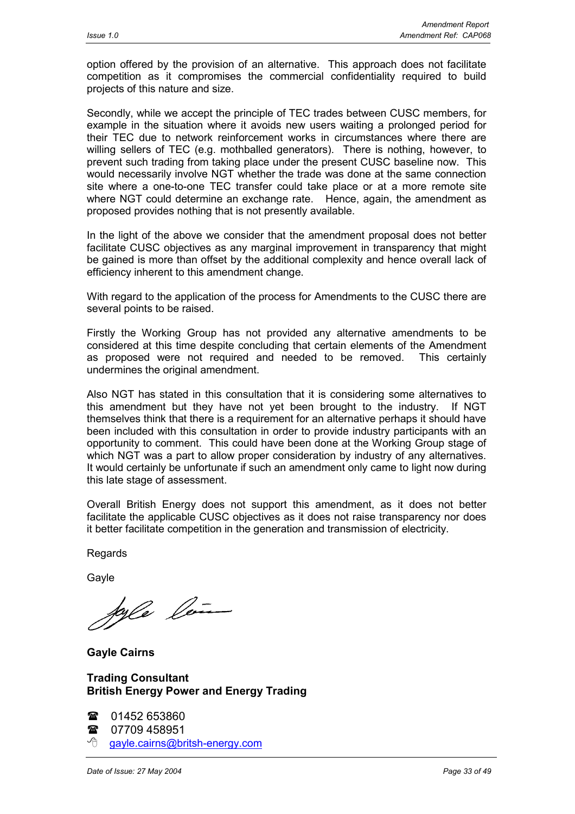option offered by the provision of an alternative. This approach does not facilitate competition as it compromises the commercial confidentiality required to build projects of this nature and size.

Secondly, while we accept the principle of TEC trades between CUSC members, for example in the situation where it avoids new users waiting a prolonged period for their TEC due to network reinforcement works in circumstances where there are willing sellers of TEC (e.g. mothballed generators). There is nothing, however, to prevent such trading from taking place under the present CUSC baseline now. This would necessarily involve NGT whether the trade was done at the same connection site where a one-to-one TEC transfer could take place or at a more remote site where NGT could determine an exchange rate. Hence, again, the amendment as proposed provides nothing that is not presently available.

In the light of the above we consider that the amendment proposal does not better facilitate CUSC objectives as any marginal improvement in transparency that might be gained is more than offset by the additional complexity and hence overall lack of efficiency inherent to this amendment change.

With regard to the application of the process for Amendments to the CUSC there are several points to be raised.

Firstly the Working Group has not provided any alternative amendments to be considered at this time despite concluding that certain elements of the Amendment as proposed were not required and needed to be removed. This certainly undermines the original amendment.

Also NGT has stated in this consultation that it is considering some alternatives to this amendment but they have not yet been brought to the industry. If NGT themselves think that there is a requirement for an alternative perhaps it should have been included with this consultation in order to provide industry participants with an opportunity to comment. This could have been done at the Working Group stage of which NGT was a part to allow proper consideration by industry of any alternatives. It would certainly be unfortunate if such an amendment only came to light now during this late stage of assessment.

Overall British Energy does not support this amendment, as it does not better facilitate the applicable CUSC objectives as it does not raise transparency nor does it better facilitate competition in the generation and transmission of electricity.

Regards

**Gavle** 

forle les

**Gayle Cairns**

## **Trading Consultant British Energy Power and Energy Trading**

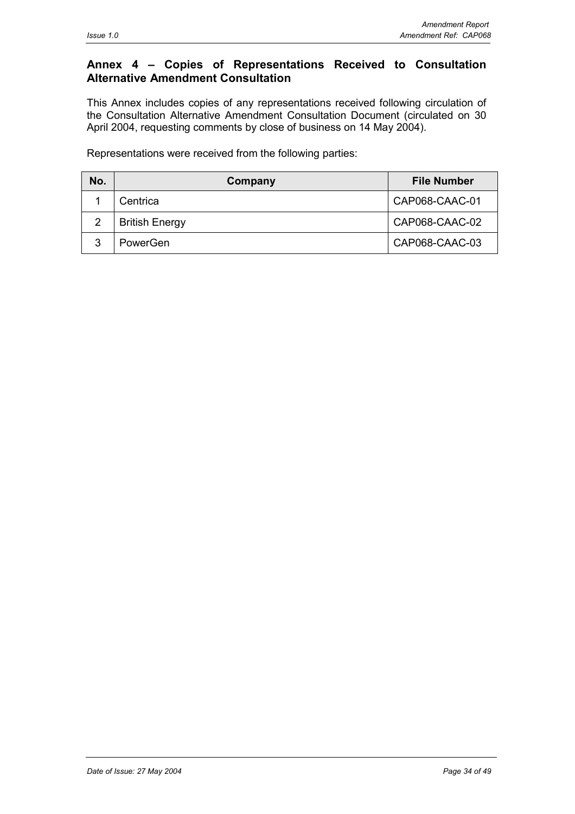# **Annex 4 – Copies of Representations Received to Consultation Alternative Amendment Consultation**

This Annex includes copies of any representations received following circulation of the Consultation Alternative Amendment Consultation Document (circulated on 30 April 2004, requesting comments by close of business on 14 May 2004).

Representations were received from the following parties:

| No. | Company               | <b>File Number</b> |
|-----|-----------------------|--------------------|
|     | Centrica              | CAP068-CAAC-01     |
|     | <b>British Energy</b> | CAP068-CAAC-02     |
| ົ   | PowerGen              | CAP068-CAAC-03     |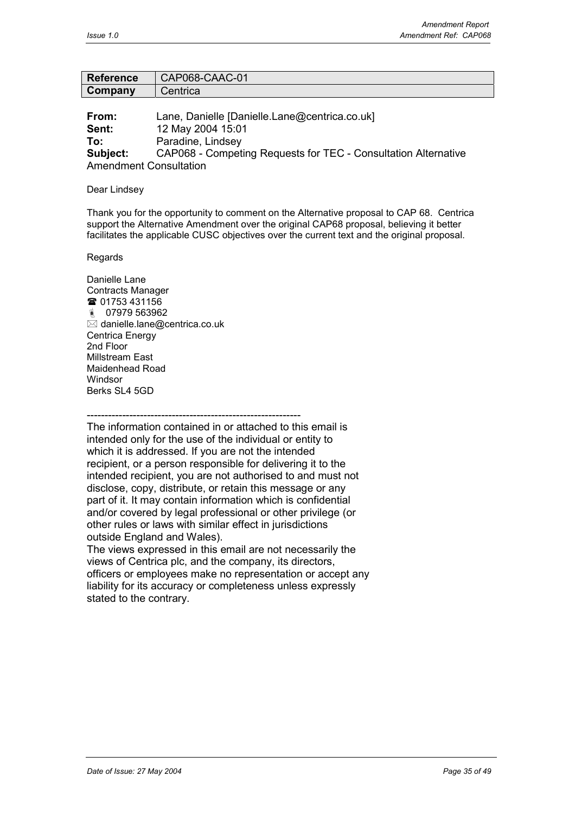| <b>Reference</b> | CAP068-CAAC-01  |
|------------------|-----------------|
| Company          | <b>Centrica</b> |

**From:** Lane, Danielle [Danielle.Lane@centrica.co.uk] **Sent:** 12 May 2004 15:01 **To:** Paradine, Lindsey **Subject:** CAP068 - Competing Requests for TEC - Consultation Alternative Amendment Consultation

#### Dear Lindsey

Thank you for the opportunity to comment on the Alternative proposal to CAP 68. Centrica support the Alternative Amendment over the original CAP68 proposal, believing it better facilitates the applicable CUSC objectives over the current text and the original proposal.

Regards

Danielle Lane Contracts Manager <sup>3</sup> 01753 431156 07979 563962  $\overline{\boxtimes}$  danielle.lane@centrica.co.uk Centrica Energy 2nd Floor Millstream East Maidenhead Road Windsor Berks SL4 5GD

------------------------------------------------------------

The information contained in or attached to this email is intended only for the use of the individual or entity to which it is addressed. If you are not the intended recipient, or a person responsible for delivering it to the intended recipient, you are not authorised to and must not disclose, copy, distribute, or retain this message or any part of it. It may contain information which is confidential and/or covered by legal professional or other privilege (or other rules or laws with similar effect in jurisdictions outside England and Wales).

The views expressed in this email are not necessarily the views of Centrica plc, and the company, its directors, officers or employees make no representation or accept any liability for its accuracy or completeness unless expressly stated to the contrary.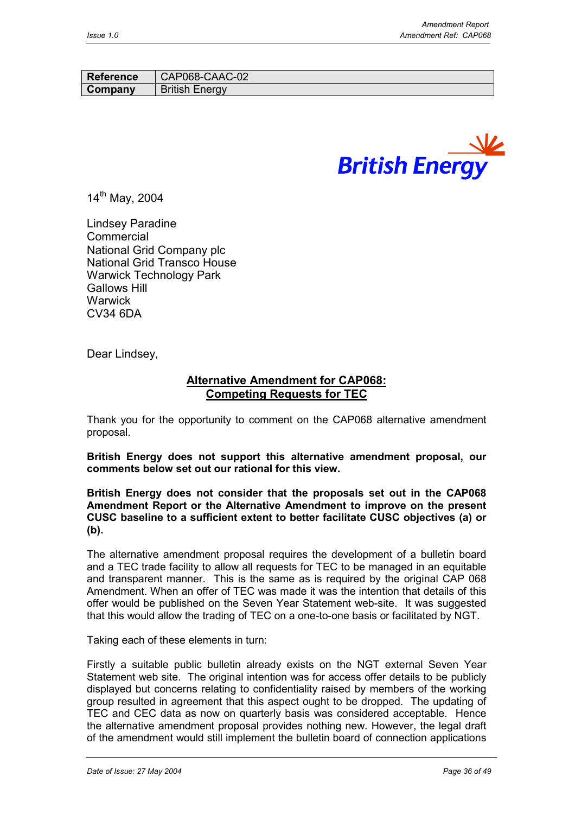| <b>Reference</b> | CAP068-CAAC-02        |
|------------------|-----------------------|
| Company          | <b>British Energy</b> |



14<sup>th</sup> May, 2004

Lindsey Paradine Commercial National Grid Company plc National Grid Transco House Warwick Technology Park Gallows Hill **Warwick** CV34 6DA

Dear Lindsey,

## **Alternative Amendment for CAP068: Competing Requests for TEC**

Thank you for the opportunity to comment on the CAP068 alternative amendment proposal.

**British Energy does not support this alternative amendment proposal, our comments below set out our rational for this view.**

**British Energy does not consider that the proposals set out in the CAP068 Amendment Report or the Alternative Amendment to improve on the present CUSC baseline to a sufficient extent to better facilitate CUSC objectives (a) or (b).**

The alternative amendment proposal requires the development of a bulletin board and a TEC trade facility to allow all requests for TEC to be managed in an equitable and transparent manner. This is the same as is required by the original CAP 068 Amendment. When an offer of TEC was made it was the intention that details of this offer would be published on the Seven Year Statement web-site. It was suggested that this would allow the trading of TEC on a one-to-one basis or facilitated by NGT.

Taking each of these elements in turn:

Firstly a suitable public bulletin already exists on the NGT external Seven Year Statement web site. The original intention was for access offer details to be publicly displayed but concerns relating to confidentiality raised by members of the working group resulted in agreement that this aspect ought to be dropped. The updating of TEC and CEC data as now on quarterly basis was considered acceptable. Hence the alternative amendment proposal provides nothing new. However, the legal draft of the amendment would still implement the bulletin board of connection applications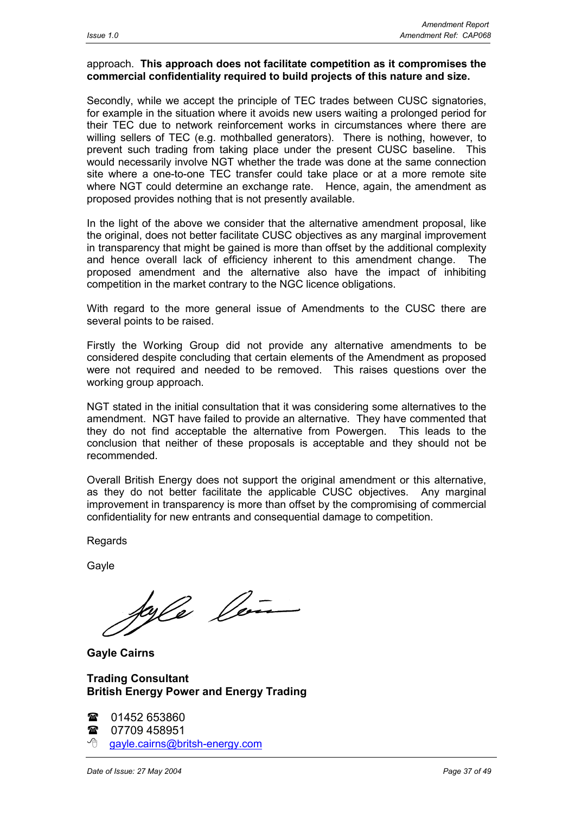#### approach. **This approach does not facilitate competition as it compromises the commercial confidentiality required to build projects of this nature and size.**

Secondly, while we accept the principle of TEC trades between CUSC signatories, for example in the situation where it avoids new users waiting a prolonged period for their TEC due to network reinforcement works in circumstances where there are willing sellers of TEC (e.g. mothballed generators). There is nothing, however, to prevent such trading from taking place under the present CUSC baseline. This would necessarily involve NGT whether the trade was done at the same connection site where a one-to-one TEC transfer could take place or at a more remote site where NGT could determine an exchange rate. Hence, again, the amendment as proposed provides nothing that is not presently available.

In the light of the above we consider that the alternative amendment proposal, like the original, does not better facilitate CUSC objectives as any marginal improvement in transparency that might be gained is more than offset by the additional complexity and hence overall lack of efficiency inherent to this amendment change. The proposed amendment and the alternative also have the impact of inhibiting competition in the market contrary to the NGC licence obligations.

With regard to the more general issue of Amendments to the CUSC there are several points to be raised.

Firstly the Working Group did not provide any alternative amendments to be considered despite concluding that certain elements of the Amendment as proposed were not required and needed to be removed. This raises questions over the working group approach.

NGT stated in the initial consultation that it was considering some alternatives to the amendment. NGT have failed to provide an alternative. They have commented that they do not find acceptable the alternative from Powergen. This leads to the conclusion that neither of these proposals is acceptable and they should not be recommended.

Overall British Energy does not support the original amendment or this alternative, as they do not better facilitate the applicable CUSC objectives. Any marginal improvement in transparency is more than offset by the compromising of commercial confidentiality for new entrants and consequential damage to competition.

Regards

Gayle

kyle len

**Gayle Cairns**

## **Trading Consultant British Energy Power and Energy Trading**

| $\mathbf{\mathcal{F}}$ 01452 653860         |
|---------------------------------------------|
| <b>雷</b> 07709 458951                       |
| <sup>t</sup> gayle.cairns@britsh-energy.com |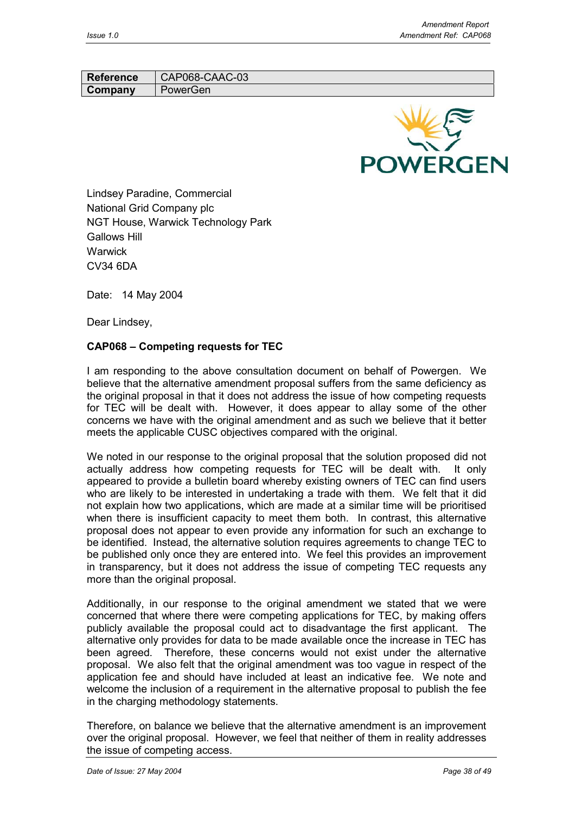Reference | CAP068-CAAC-03 **Company** PowerGen



Lindsey Paradine, Commercial National Grid Company plc NGT House, Warwick Technology Park Gallows Hill **Warwick** CV34 6DA

Date: 14 May 2004

Dear Lindsey,

## **CAP068 – Competing requests for TEC**

I am responding to the above consultation document on behalf of Powergen. We believe that the alternative amendment proposal suffers from the same deficiency as the original proposal in that it does not address the issue of how competing requests for TEC will be dealt with. However, it does appear to allay some of the other concerns we have with the original amendment and as such we believe that it better meets the applicable CUSC objectives compared with the original.

We noted in our response to the original proposal that the solution proposed did not actually address how competing requests for TEC will be dealt with. It only appeared to provide a bulletin board whereby existing owners of TEC can find users who are likely to be interested in undertaking a trade with them. We felt that it did not explain how two applications, which are made at a similar time will be prioritised when there is insufficient capacity to meet them both. In contrast, this alternative proposal does not appear to even provide any information for such an exchange to be identified. Instead, the alternative solution requires agreements to change TEC to be published only once they are entered into. We feel this provides an improvement in transparency, but it does not address the issue of competing TEC requests any more than the original proposal.

Additionally, in our response to the original amendment we stated that we were concerned that where there were competing applications for TEC, by making offers publicly available the proposal could act to disadvantage the first applicant. The alternative only provides for data to be made available once the increase in TEC has been agreed. Therefore, these concerns would not exist under the alternative proposal. We also felt that the original amendment was too vague in respect of the application fee and should have included at least an indicative fee. We note and welcome the inclusion of a requirement in the alternative proposal to publish the fee in the charging methodology statements.

Therefore, on balance we believe that the alternative amendment is an improvement over the original proposal. However, we feel that neither of them in reality addresses the issue of competing access.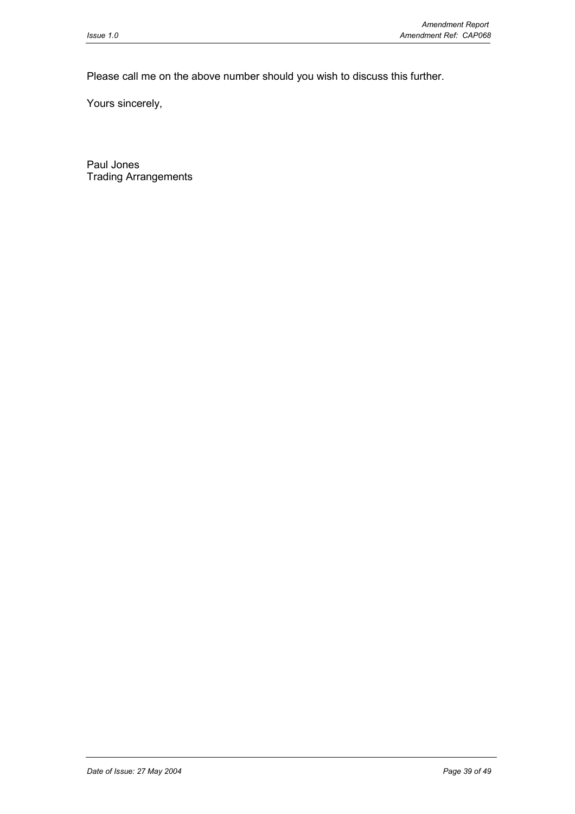Please call me on the above number should you wish to discuss this further.

Yours sincerely,

Paul Jones Trading Arrangements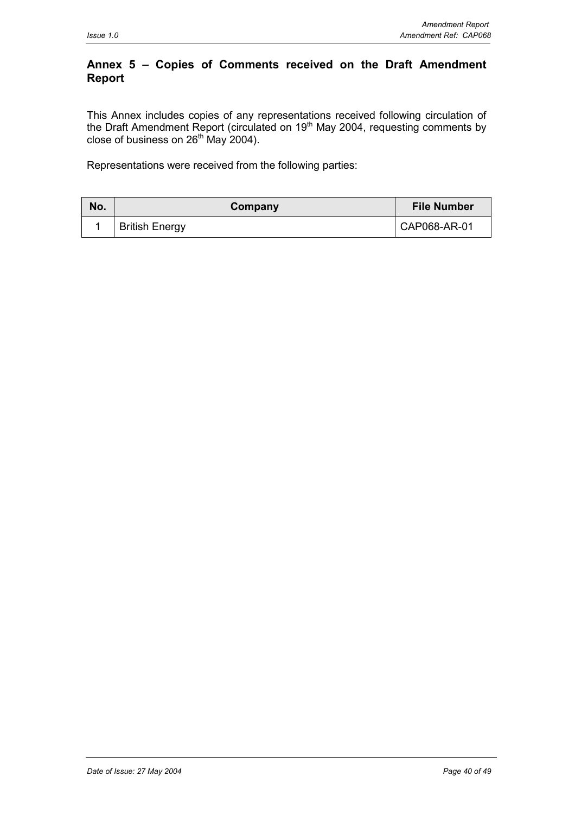## **Annex 5 – Copies of Comments received on the Draft Amendment Report**

This Annex includes copies of any representations received following circulation of the Draft Amendment Report (circulated on 19<sup>th</sup> May 2004, requesting comments by close of business on  $26<sup>th</sup>$  May 2004).

Representations were received from the following parties:

| No. | Company               | <b>File Number</b> |
|-----|-----------------------|--------------------|
|     | <b>British Energy</b> | CAP068-AR-01       |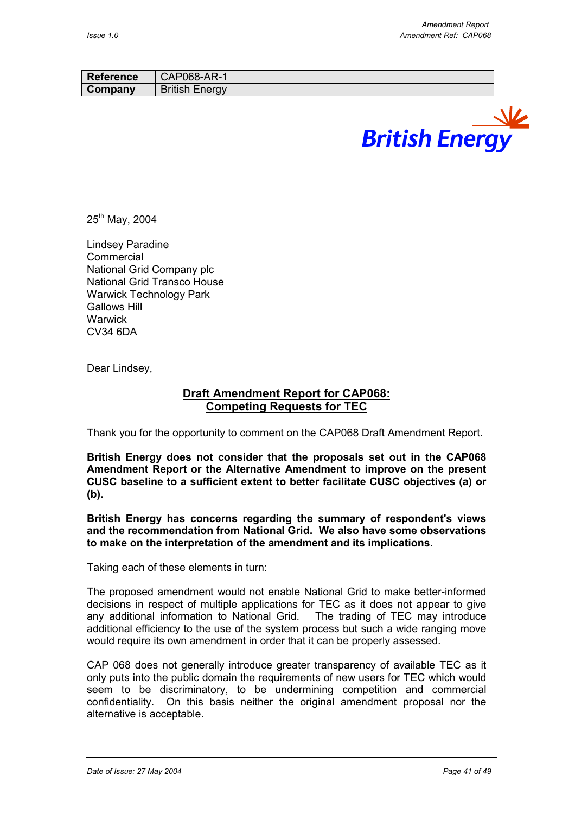| <b>Reference</b> | CAP068-AR-1           |
|------------------|-----------------------|
| Company          | <b>British Energy</b> |
|                  |                       |



 $25^{th}$  May, 2004

Lindsey Paradine Commercial National Grid Company plc National Grid Transco House Warwick Technology Park Gallows Hill **Warwick** CV34 6DA

Dear Lindsey,

# **Draft Amendment Report for CAP068: Competing Requests for TEC**

Thank you for the opportunity to comment on the CAP068 Draft Amendment Report.

**British Energy does not consider that the proposals set out in the CAP068 Amendment Report or the Alternative Amendment to improve on the present CUSC baseline to a sufficient extent to better facilitate CUSC objectives (a) or (b).**

**British Energy has concerns regarding the summary of respondent's views and the recommendation from National Grid. We also have some observations to make on the interpretation of the amendment and its implications.**

Taking each of these elements in turn:

The proposed amendment would not enable National Grid to make better-informed decisions in respect of multiple applications for TEC as it does not appear to give any additional information to National Grid. The trading of TEC may introduce additional efficiency to the use of the system process but such a wide ranging move would require its own amendment in order that it can be properly assessed.

CAP 068 does not generally introduce greater transparency of available TEC as it only puts into the public domain the requirements of new users for TEC which would seem to be discriminatory, to be undermining competition and commercial confidentiality. On this basis neither the original amendment proposal nor the alternative is acceptable.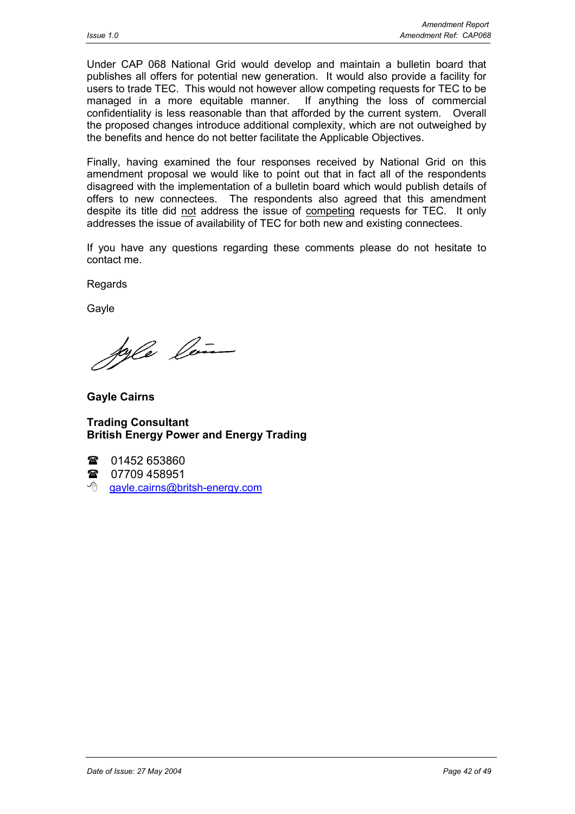Under CAP 068 National Grid would develop and maintain a bulletin board that publishes all offers for potential new generation. It would also provide a facility for users to trade TEC. This would not however allow competing requests for TEC to be managed in a more equitable manner. If anything the loss of commercial confidentiality is less reasonable than that afforded by the current system. Overall the proposed changes introduce additional complexity, which are not outweighed by the benefits and hence do not better facilitate the Applicable Objectives.

Finally, having examined the four responses received by National Grid on this amendment proposal we would like to point out that in fact all of the respondents disagreed with the implementation of a bulletin board which would publish details of offers to new connectees. The respondents also agreed that this amendment despite its title did not address the issue of competing requests for TEC. It only addresses the issue of availability of TEC for both new and existing connectees.

If you have any questions regarding these comments please do not hesitate to contact me.

**Regards** 

Gayle

Joyle len

**Gayle Cairns**

**Trading Consultant British Energy Power and Energy Trading**

 $\mathbf{r}$ 01452 653860

 $\mathbf{r}$ 07709 458951

<sup>t</sup> qayle.cairns@britsh-energy.com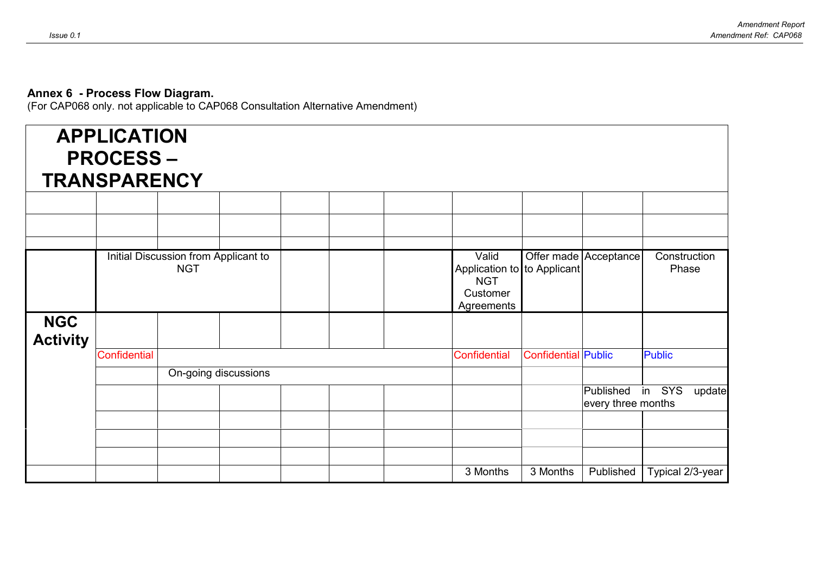#### **Annex 6 - Process Flow Diagram.**

(For CAP068 only. not applicable to CAP068 Consultation Alternative Amendment)

| <b>APPLICATION</b><br><b>PROCESS-</b><br><b>TRANSPARENCY</b> |                     |                                                    |  |                                                                              |                            |                                 |                       |
|--------------------------------------------------------------|---------------------|----------------------------------------------------|--|------------------------------------------------------------------------------|----------------------------|---------------------------------|-----------------------|
|                                                              |                     |                                                    |  |                                                                              |                            |                                 |                       |
|                                                              |                     |                                                    |  |                                                                              |                            |                                 |                       |
|                                                              |                     | Initial Discussion from Applicant to<br><b>NGT</b> |  | Valid<br>Application to to Applicant<br><b>NGT</b><br>Customer<br>Agreements |                            | Offer made Acceptance           | Construction<br>Phase |
| <b>NGC</b><br><b>Activity</b>                                |                     |                                                    |  |                                                                              |                            |                                 |                       |
|                                                              | <b>Confidential</b> |                                                    |  | Confidential                                                                 | <b>Confidential Public</b> |                                 | <b>Public</b>         |
|                                                              |                     | On-going discussions                               |  |                                                                              |                            |                                 |                       |
|                                                              |                     |                                                    |  |                                                                              |                            | Published<br>every three months | in SYS<br>update      |
|                                                              |                     |                                                    |  |                                                                              |                            |                                 |                       |
|                                                              |                     |                                                    |  |                                                                              |                            |                                 |                       |
|                                                              |                     |                                                    |  | 3 Months                                                                     | 3 Months                   | Published                       | Typical 2/3-year      |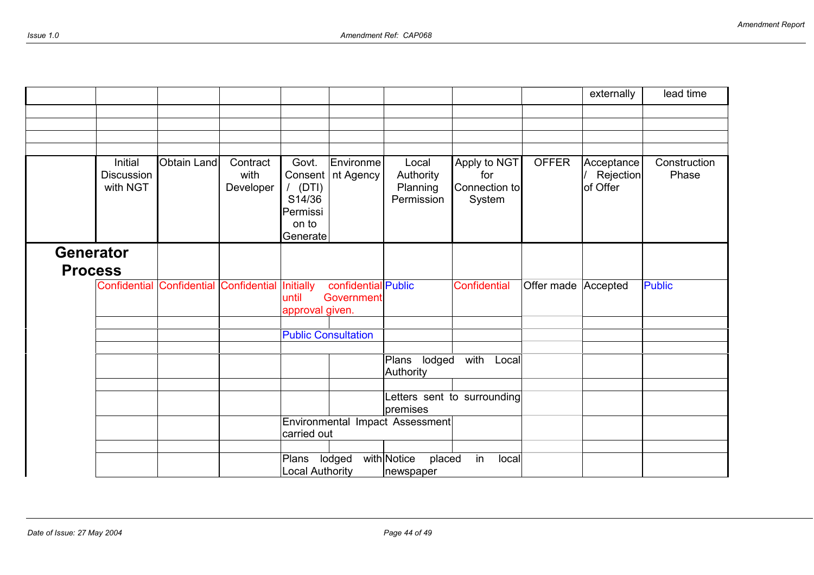|                  |                                          |                    |                               |                                                                          |                                   |                                              |                                                |                     | externally                          | lead time             |
|------------------|------------------------------------------|--------------------|-------------------------------|--------------------------------------------------------------------------|-----------------------------------|----------------------------------------------|------------------------------------------------|---------------------|-------------------------------------|-----------------------|
|                  |                                          |                    |                               |                                                                          |                                   |                                              |                                                |                     |                                     |                       |
|                  |                                          |                    |                               |                                                                          |                                   |                                              |                                                |                     |                                     |                       |
|                  |                                          |                    |                               |                                                                          |                                   |                                              |                                                |                     |                                     |                       |
|                  | Initial<br><b>Discussion</b><br>with NGT | <b>Obtain Land</b> | Contract<br>with<br>Developer | Govt.<br>Consent<br>$/$ (DTI)<br>S14/36<br>Permissi<br>on to<br>Generate | Environme<br>nt Agency            | Local<br>Authority<br>Planning<br>Permission | Apply to NGT<br>for<br>Connection to<br>System | <b>OFFER</b>        | Acceptance<br>Rejection<br>of Offer | Construction<br>Phase |
| <b>Generator</b> |                                          |                    |                               |                                                                          |                                   |                                              |                                                |                     |                                     |                       |
| <b>Process</b>   |                                          |                    |                               |                                                                          |                                   |                                              |                                                |                     |                                     |                       |
|                  | <b>Confidential Confidential</b>         |                    | Confidential Initially        | until<br>approval given.                                                 | confidential Public<br>Government |                                              | <b>Confidential</b>                            | Offer made Accepted |                                     | <b>Public</b>         |
|                  |                                          |                    |                               | <b>Public Consultation</b>                                               |                                   |                                              |                                                |                     |                                     |                       |
|                  |                                          |                    |                               |                                                                          |                                   |                                              |                                                |                     |                                     |                       |
|                  |                                          |                    |                               |                                                                          |                                   | Plans lodged<br>Authority                    | with Local                                     |                     |                                     |                       |
|                  |                                          |                    |                               |                                                                          |                                   |                                              |                                                |                     |                                     |                       |
|                  |                                          |                    |                               |                                                                          |                                   | premises                                     | Letters sent to surrounding                    |                     |                                     |                       |
|                  |                                          |                    |                               | carried out                                                              |                                   | Environmental Impact Assessment              |                                                |                     |                                     |                       |
|                  |                                          |                    |                               | Plans lodged                                                             |                                   | with Notice<br>placed                        | in<br>local                                    |                     |                                     |                       |
|                  |                                          |                    |                               | <b>Local Authority</b>                                                   |                                   | newspaper                                    |                                                |                     |                                     |                       |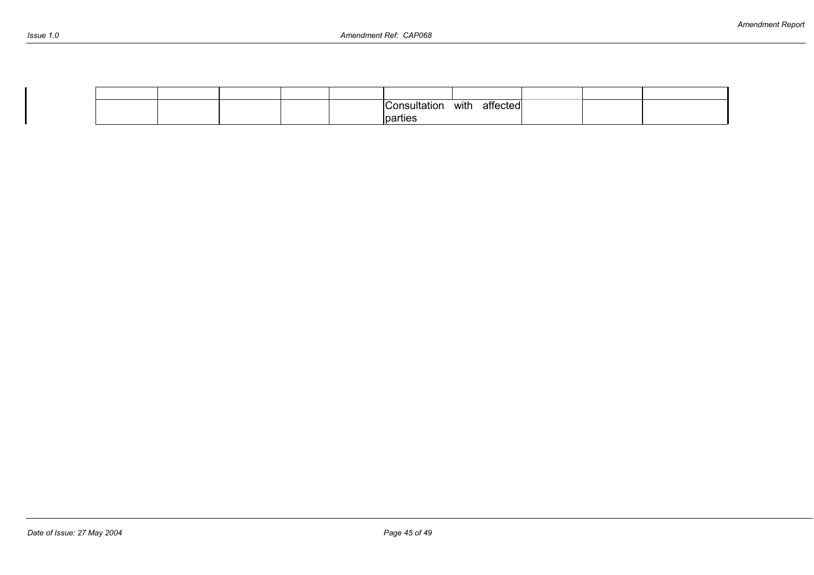| Issue | 10 |
|-------|----|
|-------|----|

|  |  | ∴ו∍מה  | with | affected |  |  |
|--|--|--------|------|----------|--|--|
|  |  | arties |      |          |  |  |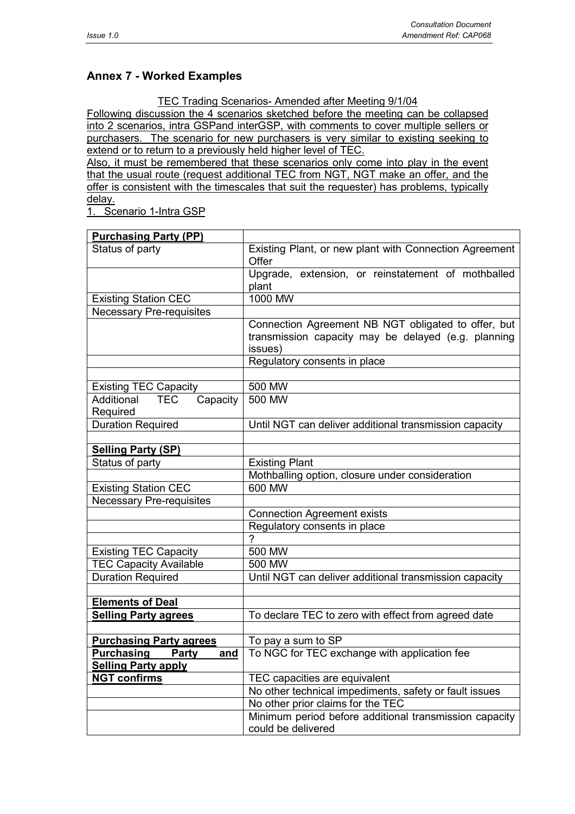# **Annex 7 - Worked Examples**

TEC Trading Scenarios- Amended after Meeting 9/1/04

Following discussion the 4 scenarios sketched before the meeting can be collapsed into 2 scenarios, intra GSPand interGSP, with comments to cover multiple sellers or purchasers. The scenario for new purchasers is very similar to existing seeking to extend or to return to a previously held higher level of TEC.

Also, it must be remembered that these scenarios only come into play in the event that the usual route (request additional TEC from NGT, NGT make an offer, and the offer is consistent with the timescales that suit the requester) has problems, typically delay.

1. Scenario 1-Intra GSP

| <b>Purchasing Party (PP)</b>             |                                                                              |  |  |  |
|------------------------------------------|------------------------------------------------------------------------------|--|--|--|
| Status of party                          | Existing Plant, or new plant with Connection Agreement                       |  |  |  |
|                                          | Offer                                                                        |  |  |  |
|                                          | Upgrade, extension, or reinstatement of mothballed                           |  |  |  |
|                                          | plant                                                                        |  |  |  |
| <b>Existing Station CEC</b>              | 1000 MW                                                                      |  |  |  |
| <b>Necessary Pre-requisites</b>          |                                                                              |  |  |  |
|                                          | Connection Agreement NB NGT obligated to offer, but                          |  |  |  |
|                                          | transmission capacity may be delayed (e.g. planning                          |  |  |  |
|                                          | issues)                                                                      |  |  |  |
|                                          | Regulatory consents in place                                                 |  |  |  |
|                                          |                                                                              |  |  |  |
| <b>Existing TEC Capacity</b>             | 500 MW                                                                       |  |  |  |
| Additional<br>Capacity<br><b>TEC</b>     | 500 MW                                                                       |  |  |  |
| Required                                 |                                                                              |  |  |  |
| <b>Duration Required</b>                 | Until NGT can deliver additional transmission capacity                       |  |  |  |
|                                          |                                                                              |  |  |  |
| <b>Selling Party (SP)</b>                |                                                                              |  |  |  |
| Status of party                          | <b>Existing Plant</b>                                                        |  |  |  |
|                                          | Mothballing option, closure under consideration                              |  |  |  |
| <b>Existing Station CEC</b>              | 600 MW                                                                       |  |  |  |
| <b>Necessary Pre-requisites</b>          |                                                                              |  |  |  |
|                                          | <b>Connection Agreement exists</b>                                           |  |  |  |
|                                          | Regulatory consents in place                                                 |  |  |  |
|                                          | $\overline{2}$                                                               |  |  |  |
| <b>Existing TEC Capacity</b>             | 500 MW                                                                       |  |  |  |
| <b>TEC Capacity Available</b>            | 500 MW                                                                       |  |  |  |
| <b>Duration Required</b>                 | Until NGT can deliver additional transmission capacity                       |  |  |  |
|                                          |                                                                              |  |  |  |
| <b>Elements of Deal</b>                  |                                                                              |  |  |  |
| <b>Selling Party agrees</b>              | To declare TEC to zero with effect from agreed date                          |  |  |  |
|                                          |                                                                              |  |  |  |
| <b>Purchasing Party agrees</b>           | To pay a sum to SP                                                           |  |  |  |
| <b>Purchasing</b><br>Party<br><u>and</u> | To NGC for TEC exchange with application fee                                 |  |  |  |
| <b>Selling Party apply</b>               |                                                                              |  |  |  |
| <b>NGT confirms</b>                      | TEC capacities are equivalent                                                |  |  |  |
|                                          | No other technical impediments, safety or fault issues                       |  |  |  |
|                                          | No other prior claims for the TEC                                            |  |  |  |
|                                          | Minimum period before additional transmission capacity<br>could be delivered |  |  |  |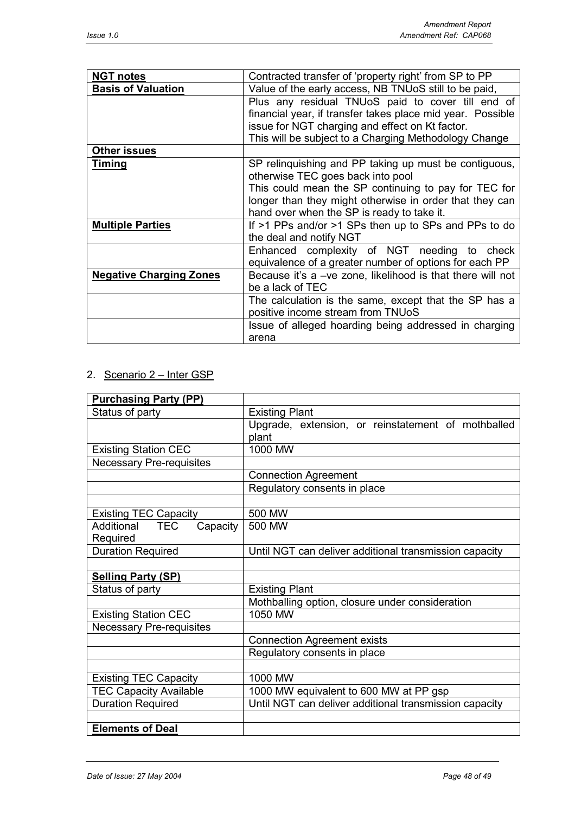| <b>NGT notes</b>               | Contracted transfer of 'property right' from SP to PP                                                                                                                                                                                                       |
|--------------------------------|-------------------------------------------------------------------------------------------------------------------------------------------------------------------------------------------------------------------------------------------------------------|
| <b>Basis of Valuation</b>      | Value of the early access, NB TNUoS still to be paid,                                                                                                                                                                                                       |
|                                | Plus any residual TNUoS paid to cover till end of<br>financial year, if transfer takes place mid year. Possible<br>issue for NGT charging and effect on Kt factor.<br>This will be subject to a Charging Methodology Change                                 |
| <b>Other issues</b>            |                                                                                                                                                                                                                                                             |
| <b>Timing</b>                  | SP relinguishing and PP taking up must be contiguous,<br>otherwise TEC goes back into pool<br>This could mean the SP continuing to pay for TEC for<br>longer than they might otherwise in order that they can<br>hand over when the SP is ready to take it. |
| <b>Multiple Parties</b>        | If >1 PPs and/or >1 SPs then up to SPs and PPs to do<br>the deal and notify NGT                                                                                                                                                                             |
|                                | Enhanced complexity of NGT needing to check<br>equivalence of a greater number of options for each PP                                                                                                                                                       |
| <b>Negative Charging Zones</b> | Because it's a -ve zone, likelihood is that there will not<br>be a lack of TEC                                                                                                                                                                              |
|                                | The calculation is the same, except that the SP has a<br>positive income stream from TNUoS                                                                                                                                                                  |
|                                | Issue of alleged hoarding being addressed in charging<br>arena                                                                                                                                                                                              |

# 2. Scenario 2 – Inter GSP

| <b>Purchasing Party (PP)</b>    |                                                        |  |  |  |  |  |
|---------------------------------|--------------------------------------------------------|--|--|--|--|--|
| Status of party                 | <b>Existing Plant</b>                                  |  |  |  |  |  |
|                                 | Upgrade, extension, or reinstatement of mothballed     |  |  |  |  |  |
|                                 | plant                                                  |  |  |  |  |  |
| <b>Existing Station CEC</b>     | 1000 MW                                                |  |  |  |  |  |
| <b>Necessary Pre-requisites</b> |                                                        |  |  |  |  |  |
|                                 | <b>Connection Agreement</b>                            |  |  |  |  |  |
|                                 | Regulatory consents in place                           |  |  |  |  |  |
|                                 |                                                        |  |  |  |  |  |
| <b>Existing TEC Capacity</b>    | 500 MW                                                 |  |  |  |  |  |
| Additional TEC<br>Capacity      | 500 MW                                                 |  |  |  |  |  |
| Required                        |                                                        |  |  |  |  |  |
| <b>Duration Required</b>        | Until NGT can deliver additional transmission capacity |  |  |  |  |  |
|                                 |                                                        |  |  |  |  |  |
| <b>Selling Party (SP)</b>       |                                                        |  |  |  |  |  |
| Status of party                 | <b>Existing Plant</b>                                  |  |  |  |  |  |
|                                 | Mothballing option, closure under consideration        |  |  |  |  |  |
| <b>Existing Station CEC</b>     | 1050 MW                                                |  |  |  |  |  |
| <b>Necessary Pre-requisites</b> |                                                        |  |  |  |  |  |
|                                 | <b>Connection Agreement exists</b>                     |  |  |  |  |  |
|                                 | Regulatory consents in place                           |  |  |  |  |  |
|                                 |                                                        |  |  |  |  |  |
| <b>Existing TEC Capacity</b>    | 1000 MW                                                |  |  |  |  |  |
| <b>TEC Capacity Available</b>   | 1000 MW equivalent to 600 MW at PP gsp                 |  |  |  |  |  |
| <b>Duration Required</b>        | Until NGT can deliver additional transmission capacity |  |  |  |  |  |
|                                 |                                                        |  |  |  |  |  |
| <b>Elements of Deal</b>         |                                                        |  |  |  |  |  |